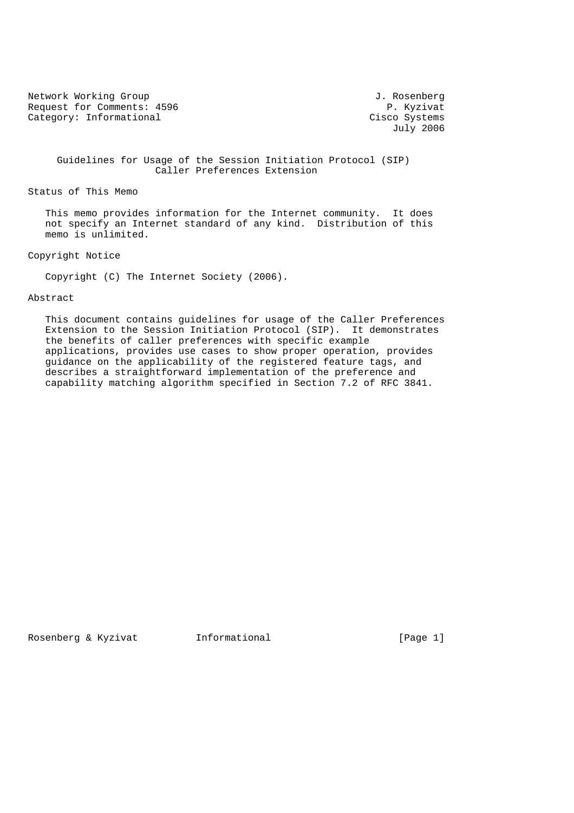Network Working Group and Section 1. Rosenberg J. Rosenberg Request for Comments: 4596 P. Kyzivat<br>
Category: Informational Cisco Systems Category: Informational

July 2006

 Guidelines for Usage of the Session Initiation Protocol (SIP) Caller Preferences Extension

Status of This Memo

 This memo provides information for the Internet community. It does not specify an Internet standard of any kind. Distribution of this memo is unlimited.

Copyright Notice

Copyright (C) The Internet Society (2006).

## Abstract

 This document contains guidelines for usage of the Caller Preferences Extension to the Session Initiation Protocol (SIP). It demonstrates the benefits of caller preferences with specific example applications, provides use cases to show proper operation, provides guidance on the applicability of the registered feature tags, and describes a straightforward implementation of the preference and capability matching algorithm specified in Section 7.2 of RFC 3841.

Rosenberg & Kyzivat 1nformational (Page 1)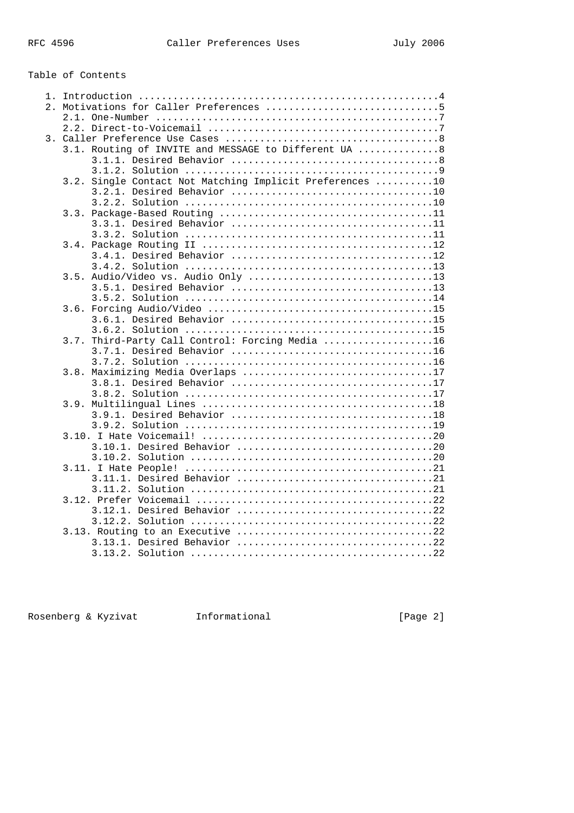## Table of Contents

| 3.1. Routing of INVITE and MESSAGE to Different UA 8     |
|----------------------------------------------------------|
|                                                          |
|                                                          |
| 3.2. Single Contact Not Matching Implicit Preferences 10 |
|                                                          |
|                                                          |
|                                                          |
|                                                          |
|                                                          |
|                                                          |
|                                                          |
|                                                          |
|                                                          |
|                                                          |
|                                                          |
|                                                          |
|                                                          |
|                                                          |
| 3.7. Third-Party Call Control: Forcing Media 16          |
|                                                          |
|                                                          |
| 3.8. Maximizing Media Overlaps 17                        |
|                                                          |
|                                                          |
|                                                          |
|                                                          |
|                                                          |
|                                                          |
|                                                          |
|                                                          |
|                                                          |
|                                                          |
|                                                          |
|                                                          |
|                                                          |
|                                                          |
|                                                          |
|                                                          |
|                                                          |
|                                                          |

Rosenberg & Kyzivat 1nformational (Page 2)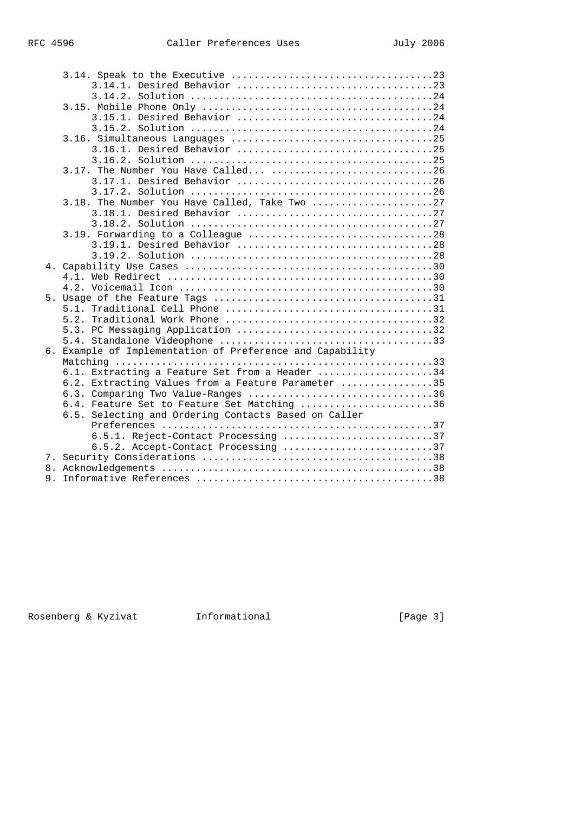|  | 3.15.1. Desired Behavior 24                               |
|--|-----------------------------------------------------------|
|  |                                                           |
|  |                                                           |
|  |                                                           |
|  |                                                           |
|  |                                                           |
|  |                                                           |
|  |                                                           |
|  | 3.18. The Number You Have Called, Take Two 27             |
|  |                                                           |
|  |                                                           |
|  |                                                           |
|  | 3.19.1. Desired Behavior 28                               |
|  |                                                           |
|  |                                                           |
|  |                                                           |
|  |                                                           |
|  |                                                           |
|  |                                                           |
|  |                                                           |
|  |                                                           |
|  |                                                           |
|  | 6. Example of Implementation of Preference and Capability |
|  |                                                           |
|  | 6.1. Extracting a Feature Set from a Header 34            |
|  | 6.2. Extracting Values from a Feature Parameter 35        |
|  | 6.3. Comparing Two Value-Ranges 36                        |
|  | 6.4. Feature Set to Feature Set Matching 36               |
|  | 6.5. Selecting and Ordering Contacts Based on Caller      |
|  |                                                           |
|  | 6.5.1. Reject-Contact Processing 37                       |
|  | 6.5.2. Accept-Contact Processing 37                       |
|  |                                                           |
|  |                                                           |
|  |                                                           |

Rosenberg & Kyzivat 1nformational (Page 3)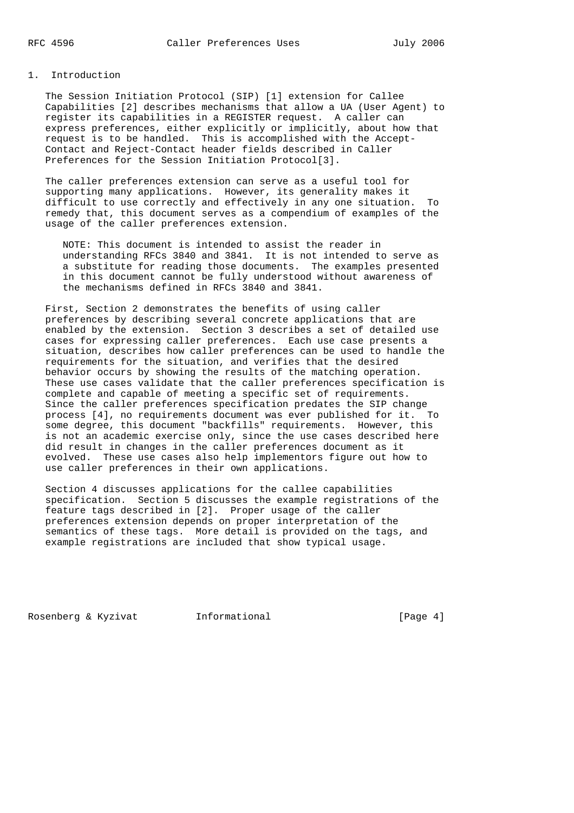## 1. Introduction

 The Session Initiation Protocol (SIP) [1] extension for Callee Capabilities [2] describes mechanisms that allow a UA (User Agent) to register its capabilities in a REGISTER request. A caller can express preferences, either explicitly or implicitly, about how that request is to be handled. This is accomplished with the Accept- Contact and Reject-Contact header fields described in Caller Preferences for the Session Initiation Protocol[3].

 The caller preferences extension can serve as a useful tool for supporting many applications. However, its generality makes it difficult to use correctly and effectively in any one situation. To remedy that, this document serves as a compendium of examples of the usage of the caller preferences extension.

 NOTE: This document is intended to assist the reader in understanding RFCs 3840 and 3841. It is not intended to serve as a substitute for reading those documents. The examples presented in this document cannot be fully understood without awareness of the mechanisms defined in RFCs 3840 and 3841.

 First, Section 2 demonstrates the benefits of using caller preferences by describing several concrete applications that are enabled by the extension. Section 3 describes a set of detailed use cases for expressing caller preferences. Each use case presents a situation, describes how caller preferences can be used to handle the requirements for the situation, and verifies that the desired behavior occurs by showing the results of the matching operation. These use cases validate that the caller preferences specification is complete and capable of meeting a specific set of requirements. Since the caller preferences specification predates the SIP change process [4], no requirements document was ever published for it. To some degree, this document "backfills" requirements. However, this is not an academic exercise only, since the use cases described here did result in changes in the caller preferences document as it evolved. These use cases also help implementors figure out how to use caller preferences in their own applications.

 Section 4 discusses applications for the callee capabilities specification. Section 5 discusses the example registrations of the feature tags described in [2]. Proper usage of the caller preferences extension depends on proper interpretation of the semantics of these tags. More detail is provided on the tags, and example registrations are included that show typical usage.

Rosenberg & Kyzivat 1nformational (Page 4)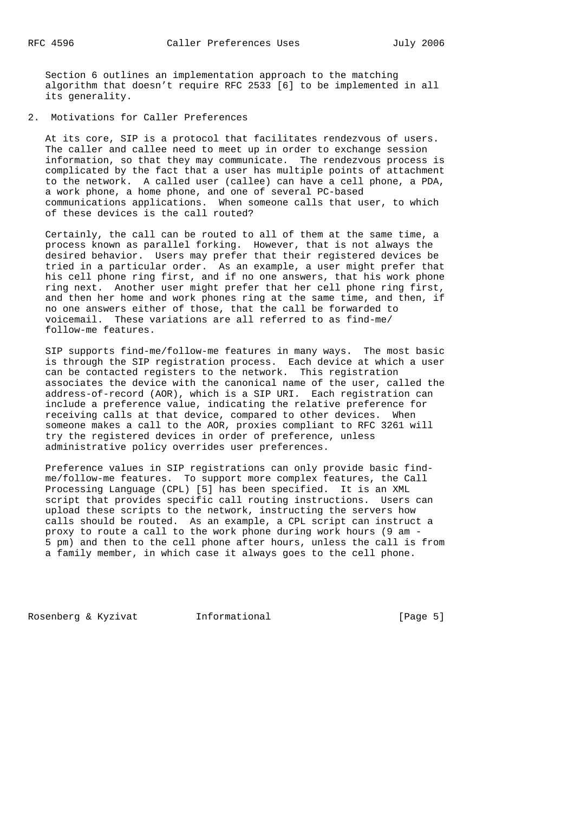Section 6 outlines an implementation approach to the matching algorithm that doesn't require RFC 2533 [6] to be implemented in all its generality.

2. Motivations for Caller Preferences

 At its core, SIP is a protocol that facilitates rendezvous of users. The caller and callee need to meet up in order to exchange session information, so that they may communicate. The rendezvous process is complicated by the fact that a user has multiple points of attachment to the network. A called user (callee) can have a cell phone, a PDA, a work phone, a home phone, and one of several PC-based communications applications. When someone calls that user, to which of these devices is the call routed?

 Certainly, the call can be routed to all of them at the same time, a process known as parallel forking. However, that is not always the desired behavior. Users may prefer that their registered devices be tried in a particular order. As an example, a user might prefer that his cell phone ring first, and if no one answers, that his work phone ring next. Another user might prefer that her cell phone ring first, and then her home and work phones ring at the same time, and then, if no one answers either of those, that the call be forwarded to voicemail. These variations are all referred to as find-me/ follow-me features.

 SIP supports find-me/follow-me features in many ways. The most basic is through the SIP registration process. Each device at which a user can be contacted registers to the network. This registration associates the device with the canonical name of the user, called the address-of-record (AOR), which is a SIP URI. Each registration can include a preference value, indicating the relative preference for receiving calls at that device, compared to other devices. When someone makes a call to the AOR, proxies compliant to RFC 3261 will try the registered devices in order of preference, unless administrative policy overrides user preferences.

 Preference values in SIP registrations can only provide basic find me/follow-me features. To support more complex features, the Call Processing Language (CPL) [5] has been specified. It is an XML script that provides specific call routing instructions. Users can upload these scripts to the network, instructing the servers how calls should be routed. As an example, a CPL script can instruct a proxy to route a call to the work phone during work hours (9 am - 5 pm) and then to the cell phone after hours, unless the call is from a family member, in which case it always goes to the cell phone.

Rosenberg & Kyzivat Informational (Page 5)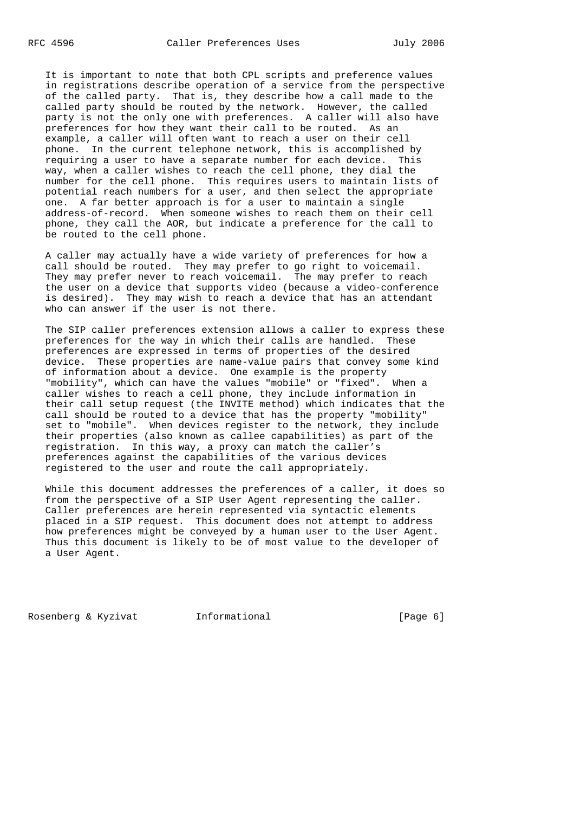It is important to note that both CPL scripts and preference values in registrations describe operation of a service from the perspective of the called party. That is, they describe how a call made to the called party should be routed by the network. However, the called party is not the only one with preferences. A caller will also have preferences for how they want their call to be routed. As an example, a caller will often want to reach a user on their cell phone. In the current telephone network, this is accomplished by requiring a user to have a separate number for each device. This way, when a caller wishes to reach the cell phone, they dial the number for the cell phone. This requires users to maintain lists of potential reach numbers for a user, and then select the appropriate one. A far better approach is for a user to maintain a single address-of-record. When someone wishes to reach them on their cell phone, they call the AOR, but indicate a preference for the call to be routed to the cell phone.

 A caller may actually have a wide variety of preferences for how a call should be routed. They may prefer to go right to voicemail. They may prefer never to reach voicemail. The may prefer to reach the user on a device that supports video (because a video-conference is desired). They may wish to reach a device that has an attendant who can answer if the user is not there.

 The SIP caller preferences extension allows a caller to express these preferences for the way in which their calls are handled. These preferences are expressed in terms of properties of the desired device. These properties are name-value pairs that convey some kind of information about a device. One example is the property "mobility", which can have the values "mobile" or "fixed". When a caller wishes to reach a cell phone, they include information in their call setup request (the INVITE method) which indicates that the call should be routed to a device that has the property "mobility" set to "mobile". When devices register to the network, they include their properties (also known as callee capabilities) as part of the registration. In this way, a proxy can match the caller's preferences against the capabilities of the various devices registered to the user and route the call appropriately.

 While this document addresses the preferences of a caller, it does so from the perspective of a SIP User Agent representing the caller. Caller preferences are herein represented via syntactic elements placed in a SIP request. This document does not attempt to address how preferences might be conveyed by a human user to the User Agent. Thus this document is likely to be of most value to the developer of a User Agent.

Rosenberg & Kyzivat Informational (Page 6)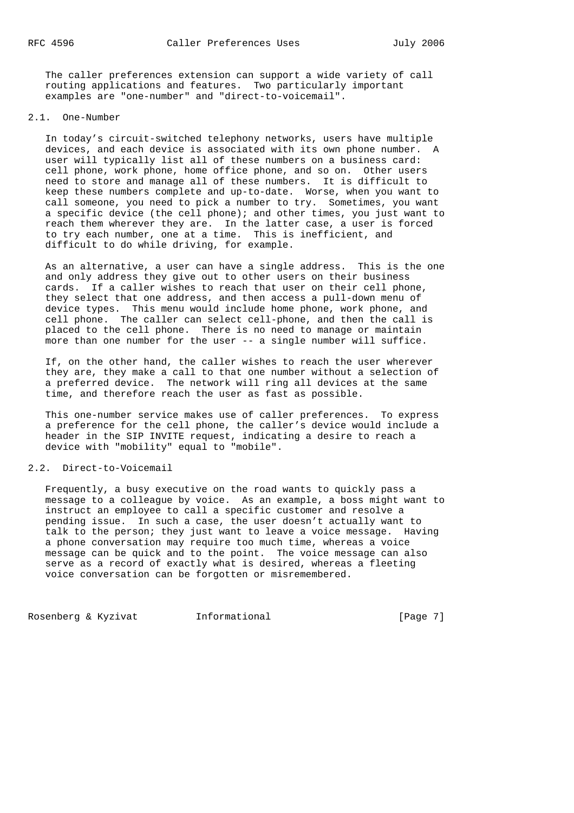The caller preferences extension can support a wide variety of call routing applications and features. Two particularly important examples are "one-number" and "direct-to-voicemail".

## 2.1. One-Number

 In today's circuit-switched telephony networks, users have multiple devices, and each device is associated with its own phone number. A user will typically list all of these numbers on a business card: cell phone, work phone, home office phone, and so on. Other users need to store and manage all of these numbers. It is difficult to keep these numbers complete and up-to-date. Worse, when you want to call someone, you need to pick a number to try. Sometimes, you want a specific device (the cell phone); and other times, you just want to reach them wherever they are. In the latter case, a user is forced to try each number, one at a time. This is inefficient, and difficult to do while driving, for example.

 As an alternative, a user can have a single address. This is the one and only address they give out to other users on their business cards. If a caller wishes to reach that user on their cell phone, they select that one address, and then access a pull-down menu of device types. This menu would include home phone, work phone, and cell phone. The caller can select cell-phone, and then the call is placed to the cell phone. There is no need to manage or maintain more than one number for the user -- a single number will suffice.

 If, on the other hand, the caller wishes to reach the user wherever they are, they make a call to that one number without a selection of a preferred device. The network will ring all devices at the same time, and therefore reach the user as fast as possible.

 This one-number service makes use of caller preferences. To express a preference for the cell phone, the caller's device would include a header in the SIP INVITE request, indicating a desire to reach a device with "mobility" equal to "mobile".

#### 2.2. Direct-to-Voicemail

 Frequently, a busy executive on the road wants to quickly pass a message to a colleague by voice. As an example, a boss might want to instruct an employee to call a specific customer and resolve a pending issue. In such a case, the user doesn't actually want to talk to the person; they just want to leave a voice message. Having a phone conversation may require too much time, whereas a voice message can be quick and to the point. The voice message can also serve as a record of exactly what is desired, whereas a fleeting voice conversation can be forgotten or misremembered.

Rosenberg & Kyzivat 1nformational (Page 7)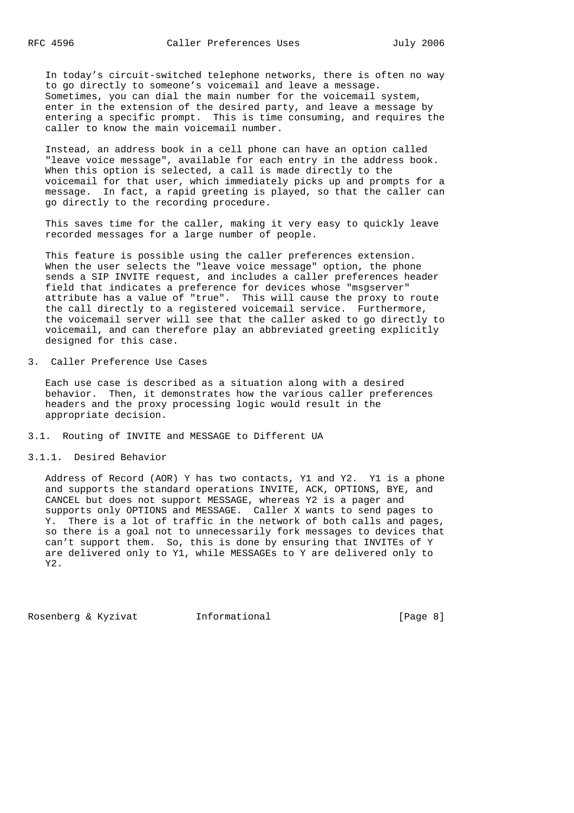In today's circuit-switched telephone networks, there is often no way to go directly to someone's voicemail and leave a message. Sometimes, you can dial the main number for the voicemail system, enter in the extension of the desired party, and leave a message by entering a specific prompt. This is time consuming, and requires the caller to know the main voicemail number.

 Instead, an address book in a cell phone can have an option called "leave voice message", available for each entry in the address book. When this option is selected, a call is made directly to the voicemail for that user, which immediately picks up and prompts for a message. In fact, a rapid greeting is played, so that the caller can go directly to the recording procedure.

 This saves time for the caller, making it very easy to quickly leave recorded messages for a large number of people.

 This feature is possible using the caller preferences extension. When the user selects the "leave voice message" option, the phone sends a SIP INVITE request, and includes a caller preferences header field that indicates a preference for devices whose "msgserver" attribute has a value of "true". This will cause the proxy to route the call directly to a registered voicemail service. Furthermore, the voicemail server will see that the caller asked to go directly to voicemail, and can therefore play an abbreviated greeting explicitly designed for this case.

3. Caller Preference Use Cases

 Each use case is described as a situation along with a desired behavior. Then, it demonstrates how the various caller preferences headers and the proxy processing logic would result in the appropriate decision.

3.1. Routing of INVITE and MESSAGE to Different UA

3.1.1. Desired Behavior

 Address of Record (AOR) Y has two contacts, Y1 and Y2. Y1 is a phone and supports the standard operations INVITE, ACK, OPTIONS, BYE, and CANCEL but does not support MESSAGE, whereas Y2 is a pager and supports only OPTIONS and MESSAGE. Caller X wants to send pages to Y. There is a lot of traffic in the network of both calls and pages, so there is a goal not to unnecessarily fork messages to devices that can't support them. So, this is done by ensuring that INVITEs of Y are delivered only to Y1, while MESSAGEs to Y are delivered only to Y2.

Rosenberg & Kyzivat 1nformational (Page 8)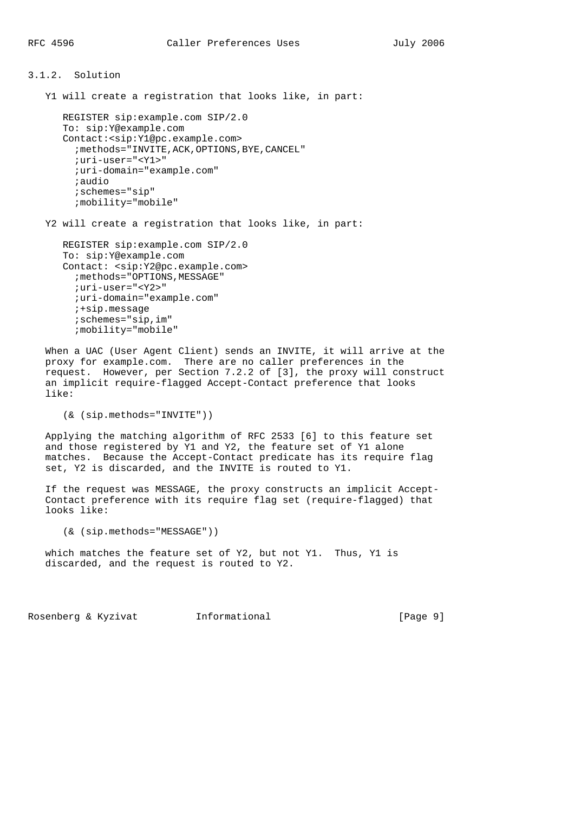# 3.1.2. Solution Y1 will create a registration that looks like, in part: REGISTER sip:example.com SIP/2.0 To: sip:Y@example.com Contact:<sip:Y1@pc.example.com> ; methods="INVITE, ACK, OPTIONS, BYE, CANCEL" ;uri-user="<Y1>" ;uri-domain="example.com"

;audio

 ;schemes="sip" ;mobility="mobile"

Y2 will create a registration that looks like, in part:

```
 REGISTER sip:example.com SIP/2.0
 To: sip:Y@example.com
 Contact: <sip:Y2@pc.example.com>
   ;methods="OPTIONS,MESSAGE"
   ;uri-user="<Y2>"
   ;uri-domain="example.com"
   ;+sip.message
   ;schemes="sip,im"
   ;mobility="mobile"
```
 When a UAC (User Agent Client) sends an INVITE, it will arrive at the proxy for example.com. There are no caller preferences in the request. However, per Section 7.2.2 of [3], the proxy will construct an implicit require-flagged Accept-Contact preference that looks like:

(& (sip.methods="INVITE"))

 Applying the matching algorithm of RFC 2533 [6] to this feature set and those registered by Y1 and Y2, the feature set of Y1 alone matches. Because the Accept-Contact predicate has its require flag set, Y2 is discarded, and the INVITE is routed to Y1.

 If the request was MESSAGE, the proxy constructs an implicit Accept- Contact preference with its require flag set (require-flagged) that looks like:

(& (sip.methods="MESSAGE"))

 which matches the feature set of Y2, but not Y1. Thus, Y1 is discarded, and the request is routed to Y2.

Rosenberg & Kyzivat Informational (Page 9)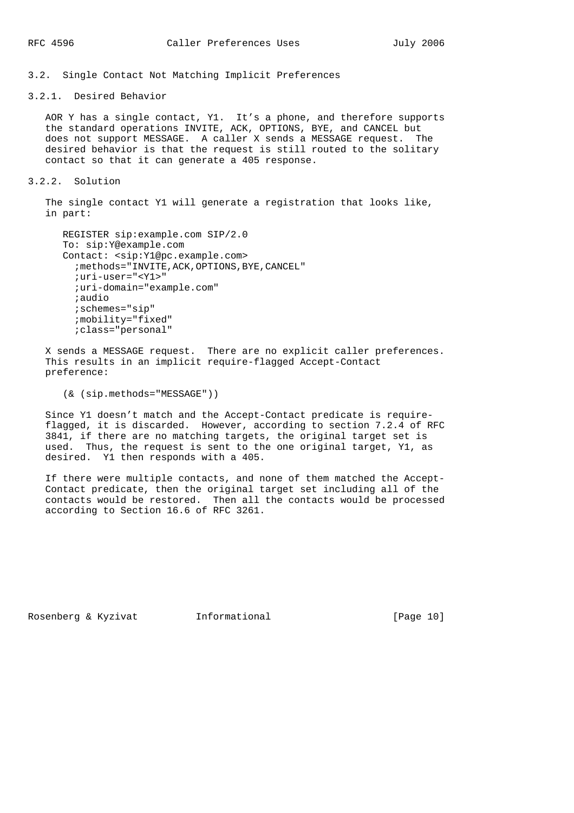3.2. Single Contact Not Matching Implicit Preferences

3.2.1. Desired Behavior

 AOR Y has a single contact, Y1. It's a phone, and therefore supports the standard operations INVITE, ACK, OPTIONS, BYE, and CANCEL but does not support MESSAGE. A caller X sends a MESSAGE request. The desired behavior is that the request is still routed to the solitary contact so that it can generate a 405 response.

3.2.2. Solution

 The single contact Y1 will generate a registration that looks like, in part:

```
 REGISTER sip:example.com SIP/2.0
 To: sip:Y@example.com
 Contact: <sip:Y1@pc.example.com>
   ;methods="INVITE,ACK,OPTIONS,BYE,CANCEL"
   ;uri-user="<Y1>"
   ;uri-domain="example.com"
   ;audio
   ;schemes="sip"
   ;mobility="fixed"
   ;class="personal"
```
 X sends a MESSAGE request. There are no explicit caller preferences. This results in an implicit require-flagged Accept-Contact preference:

(& (sip.methods="MESSAGE"))

 Since Y1 doesn't match and the Accept-Contact predicate is require flagged, it is discarded. However, according to section 7.2.4 of RFC 3841, if there are no matching targets, the original target set is used. Thus, the request is sent to the one original target, Y1, as desired. Y1 then responds with a 405.

 If there were multiple contacts, and none of them matched the Accept- Contact predicate, then the original target set including all of the contacts would be restored. Then all the contacts would be processed according to Section 16.6 of RFC 3261.

Rosenberg & Kyzivat Informational [Page 10]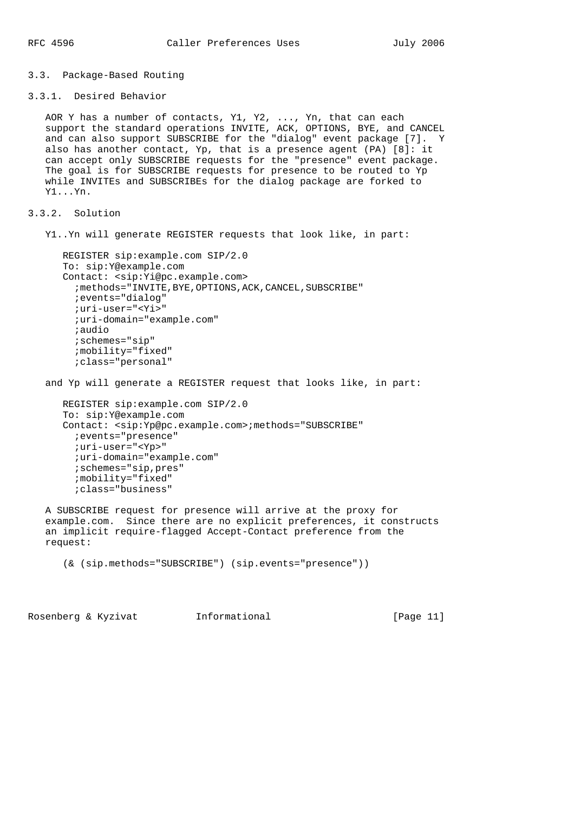#### 3.3. Package-Based Routing

```
3.3.1. Desired Behavior
```
 AOR Y has a number of contacts, Y1, Y2, ..., Yn, that can each support the standard operations INVITE, ACK, OPTIONS, BYE, and CANCEL and can also support SUBSCRIBE for the "dialog" event package [7]. Y also has another contact, Yp, that is a presence agent (PA) [8]: it can accept only SUBSCRIBE requests for the "presence" event package. The goal is for SUBSCRIBE requests for presence to be routed to Yp while INVITEs and SUBSCRIBEs for the dialog package are forked to Y1...Yn.

3.3.2. Solution

Y1..Yn will generate REGISTER requests that look like, in part:

```
 REGISTER sip:example.com SIP/2.0
 To: sip:Y@example.com
 Contact: <sip:Yi@pc.example.com>
   ;methods="INVITE,BYE,OPTIONS,ACK,CANCEL,SUBSCRIBE"
   ;events="dialog"
   ;uri-user="<Yi>"
   ;uri-domain="example.com"
   ;audio
   ;schemes="sip"
   ;mobility="fixed"
   ;class="personal"
```
and Yp will generate a REGISTER request that looks like, in part:

```
 REGISTER sip:example.com SIP/2.0
 To: sip:Y@example.com
 Contact: <sip:Yp@pc.example.com>;methods="SUBSCRIBE"
  ;events="presence"
  ;uri-user="<Yp>"
   ;uri-domain="example.com"
   ;schemes="sip,pres"
   ;mobility="fixed"
   ;class="business"
```
 A SUBSCRIBE request for presence will arrive at the proxy for example.com. Since there are no explicit preferences, it constructs an implicit require-flagged Accept-Contact preference from the request:

```
 (& (sip.methods="SUBSCRIBE") (sip.events="presence"))
```
Rosenberg & Kyzivat 1nformational [Page 11]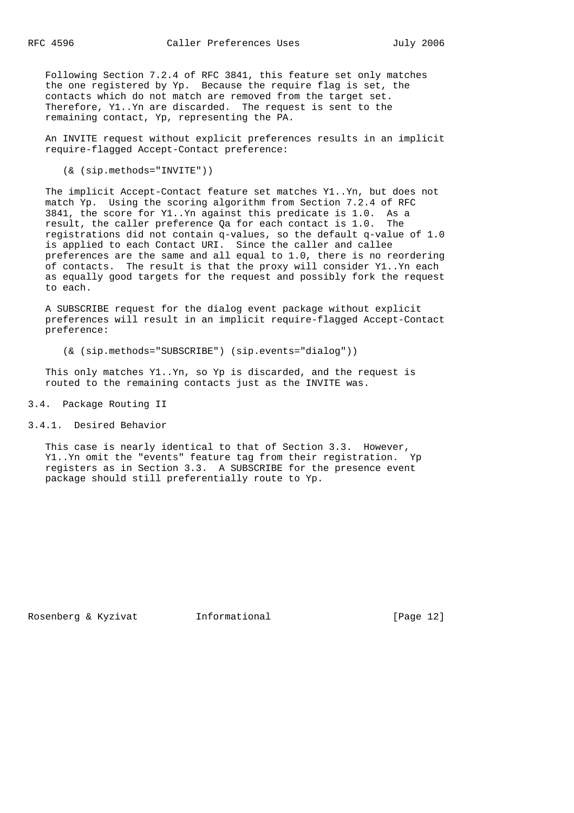Following Section 7.2.4 of RFC 3841, this feature set only matches the one registered by Yp. Because the require flag is set, the contacts which do not match are removed from the target set. Therefore, Y1..Yn are discarded. The request is sent to the remaining contact, Yp, representing the PA.

 An INVITE request without explicit preferences results in an implicit require-flagged Accept-Contact preference:

(& (sip.methods="INVITE"))

 The implicit Accept-Contact feature set matches Y1..Yn, but does not match Yp. Using the scoring algorithm from Section 7.2.4 of RFC 3841, the score for Y1..Yn against this predicate is 1.0. As a result, the caller preference Qa for each contact is 1.0. The registrations did not contain q-values, so the default q-value of 1.0 is applied to each Contact URI. Since the caller and callee preferences are the same and all equal to 1.0, there is no reordering of contacts. The result is that the proxy will consider Y1..Yn each as equally good targets for the request and possibly fork the request to each.

 A SUBSCRIBE request for the dialog event package without explicit preferences will result in an implicit require-flagged Accept-Contact preference:

(& (sip.methods="SUBSCRIBE") (sip.events="dialog"))

 This only matches Y1..Yn, so Yp is discarded, and the request is routed to the remaining contacts just as the INVITE was.

3.4. Package Routing II

```
3.4.1. Desired Behavior
```
 This case is nearly identical to that of Section 3.3. However, Y1..Yn omit the "events" feature tag from their registration. Yp registers as in Section 3.3. A SUBSCRIBE for the presence event package should still preferentially route to Yp.

Rosenberg & Kyzivat Informational [Page 12]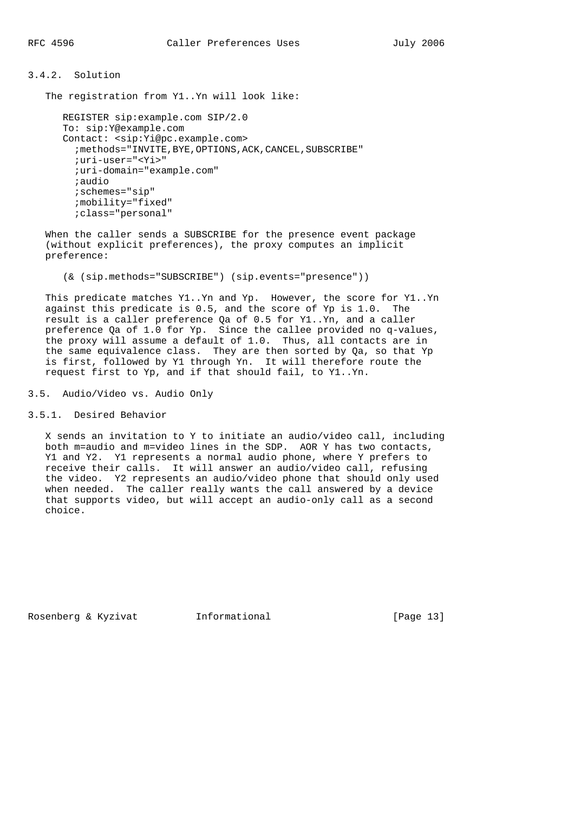## 3.4.2. Solution

The registration from Y1..Yn will look like:

```
 REGISTER sip:example.com SIP/2.0
 To: sip:Y@example.com
 Contact: <sip:Yi@pc.example.com>
   ;methods="INVITE,BYE,OPTIONS,ACK,CANCEL,SUBSCRIBE"
   ;uri-user="<Yi>"
   ;uri-domain="example.com"
   ;audio
   ;schemes="sip"
   ;mobility="fixed"
   ;class="personal"
```
 When the caller sends a SUBSCRIBE for the presence event package (without explicit preferences), the proxy computes an implicit preference:

(& (sip.methods="SUBSCRIBE") (sip.events="presence"))

 This predicate matches Y1..Yn and Yp. However, the score for Y1..Yn against this predicate is 0.5, and the score of Yp is 1.0. The result is a caller preference Qa of 0.5 for Y1..Yn, and a caller preference Qa of 1.0 for Yp. Since the callee provided no q-values, the proxy will assume a default of 1.0. Thus, all contacts are in the same equivalence class. They are then sorted by Qa, so that Yp is first, followed by Y1 through Yn. It will therefore route the request first to Yp, and if that should fail, to Y1..Yn.

3.5. Audio/Video vs. Audio Only

3.5.1. Desired Behavior

 X sends an invitation to Y to initiate an audio/video call, including both m=audio and m=video lines in the SDP. AOR Y has two contacts, Y1 and Y2. Y1 represents a normal audio phone, where Y prefers to receive their calls. It will answer an audio/video call, refusing the video. Y2 represents an audio/video phone that should only used when needed. The caller really wants the call answered by a device that supports video, but will accept an audio-only call as a second choice.

Rosenberg & Kyzivat Informational [Page 13]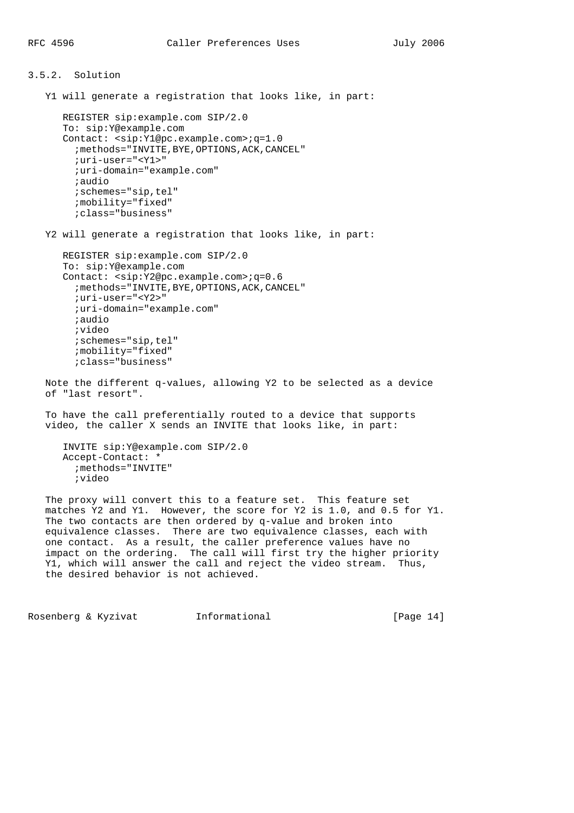```
3.5.2. Solution
    Y1 will generate a registration that looks like, in part:
       REGISTER sip:example.com SIP/2.0
       To: sip:Y@example.com
       Contact: <sip:Y1@pc.example.com>;q=1.0
        ; methods="INVITE, BYE, OPTIONS, ACK, CANCEL"
         ;uri-user="<Y1>"
         ;uri-domain="example.com"
         ;audio
         ;schemes="sip,tel"
         ;mobility="fixed"
         ;class="business"
    Y2 will generate a registration that looks like, in part:
       REGISTER sip:example.com SIP/2.0
       To: sip:Y@example.com
       Contact: <sip:Y2@pc.example.com>;q=0.6
        ; methods="INVITE, BYE, OPTIONS, ACK, CANCEL"
         ;uri-user="<Y2>"
         ;uri-domain="example.com"
         ;audio
         ;video
         ;schemes="sip,tel"
         ;mobility="fixed"
         ;class="business"
    Note the different q-values, allowing Y2 to be selected as a device
    of "last resort".
    To have the call preferentially routed to a device that supports
    video, the caller X sends an INVITE that looks like, in part:
       INVITE sip:Y@example.com SIP/2.0
       Accept-Contact: *
         ;methods="INVITE"
         ;video
    The proxy will convert this to a feature set. This feature set
    matches Y2 and Y1. However, the score for Y2 is 1.0, and 0.5 for Y1.
    The two contacts are then ordered by q-value and broken into
    equivalence classes. There are two equivalence classes, each with
```
 one contact. As a result, the caller preference values have no impact on the ordering. The call will first try the higher priority Y1, which will answer the call and reject the video stream. Thus, the desired behavior is not achieved.

Rosenberg & Kyzivat 1nformational [Page 14]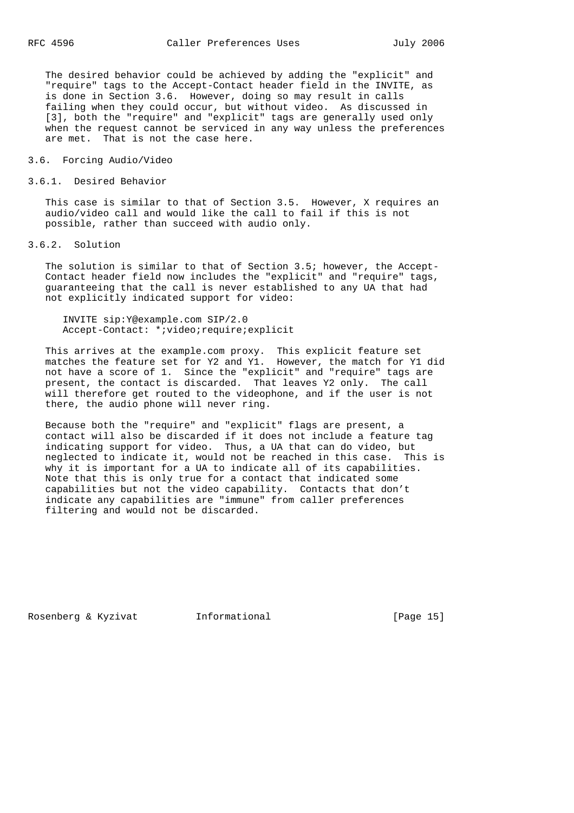The desired behavior could be achieved by adding the "explicit" and "require" tags to the Accept-Contact header field in the INVITE, as is done in Section 3.6. However, doing so may result in calls failing when they could occur, but without video. As discussed in [3], both the "require" and "explicit" tags are generally used only when the request cannot be serviced in any way unless the preferences are met. That is not the case here.

## 3.6. Forcing Audio/Video

#### 3.6.1. Desired Behavior

 This case is similar to that of Section 3.5. However, X requires an audio/video call and would like the call to fail if this is not possible, rather than succeed with audio only.

3.6.2. Solution

 The solution is similar to that of Section 3.5; however, the Accept- Contact header field now includes the "explicit" and "require" tags, guaranteeing that the call is never established to any UA that had not explicitly indicated support for video:

 INVITE sip:Y@example.com SIP/2.0 Accept-Contact: \*;video;require;explicit

 This arrives at the example.com proxy. This explicit feature set matches the feature set for Y2 and Y1. However, the match for Y1 did not have a score of 1. Since the "explicit" and "require" tags are present, the contact is discarded. That leaves Y2 only. The call will therefore get routed to the videophone, and if the user is not there, the audio phone will never ring.

 Because both the "require" and "explicit" flags are present, a contact will also be discarded if it does not include a feature tag indicating support for video. Thus, a UA that can do video, but neglected to indicate it, would not be reached in this case. This is why it is important for a UA to indicate all of its capabilities. Note that this is only true for a contact that indicated some capabilities but not the video capability. Contacts that don't indicate any capabilities are "immune" from caller preferences filtering and would not be discarded.

Rosenberg & Kyzivat Informational [Page 15]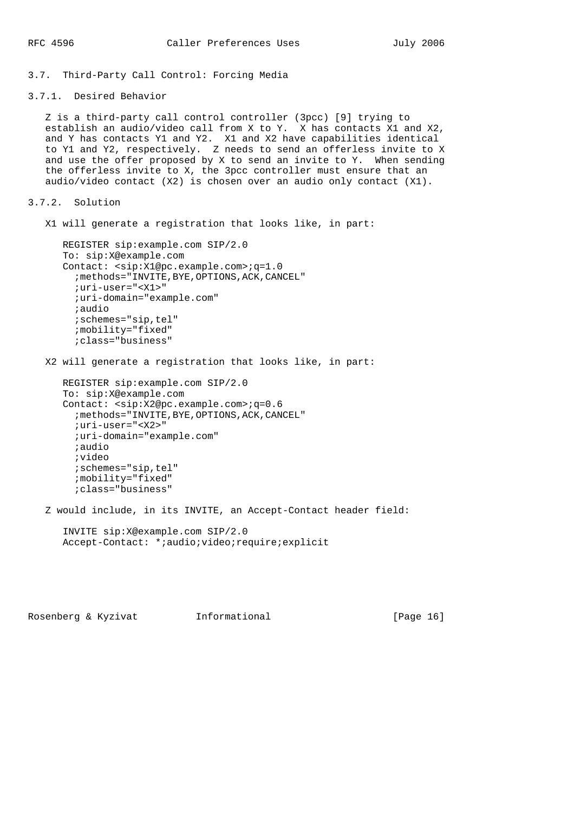3.7. Third-Party Call Control: Forcing Media

3.7.1. Desired Behavior

 Z is a third-party call control controller (3pcc) [9] trying to establish an audio/video call from X to Y. X has contacts X1 and X2, and Y has contacts Y1 and Y2. X1 and X2 have capabilities identical to Y1 and Y2, respectively. Z needs to send an offerless invite to X and use the offer proposed by X to send an invite to Y. When sending the offerless invite to X, the 3pcc controller must ensure that an audio/video contact (X2) is chosen over an audio only contact (X1).

```
3.7.2. Solution
```
X1 will generate a registration that looks like, in part:

```
 REGISTER sip:example.com SIP/2.0
 To: sip:X@example.com
 Contact: <sip:X1@pc.example.com>;q=1.0
  ; methods="INVITE, BYE, OPTIONS, ACK, CANCEL"
   ;uri-user="<X1>"
   ;uri-domain="example.com"
   ;audio
   ;schemes="sip,tel"
   ;mobility="fixed"
   ;class="business"
```
X2 will generate a registration that looks like, in part:

```
 REGISTER sip:example.com SIP/2.0
 To: sip:X@example.com
 Contact: <sip:X2@pc.example.com>;q=0.6
   ;methods="INVITE,BYE,OPTIONS,ACK,CANCEL"
   ;uri-user="<X2>"
   ;uri-domain="example.com"
   ;audio
   ;video
   ;schemes="sip,tel"
   ;mobility="fixed"
   ;class="business"
```
Z would include, in its INVITE, an Accept-Contact header field:

```
 INVITE sip:X@example.com SIP/2.0
 Accept-Contact: *;audio;video;require;explicit
```
Rosenberg & Kyzivat 1nformational [Page 16]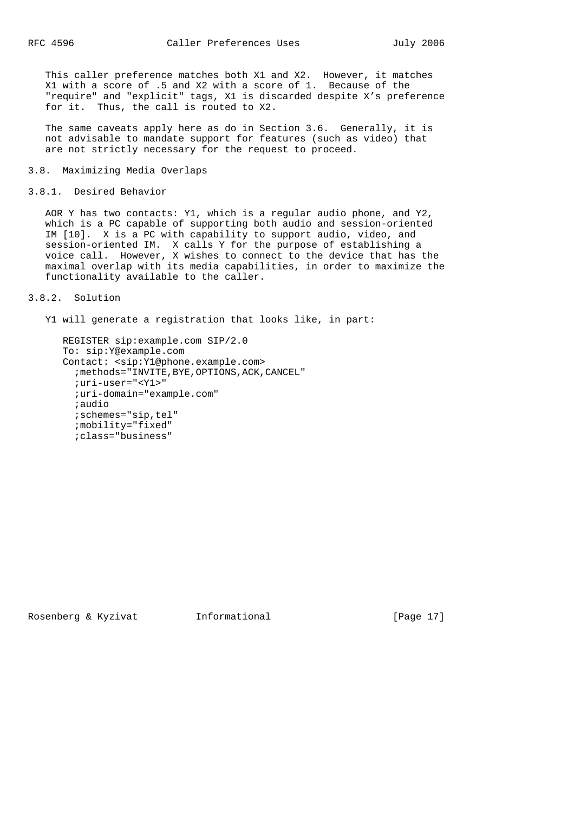This caller preference matches both X1 and X2. However, it matches X1 with a score of .5 and X2 with a score of 1. Because of the "require" and "explicit" tags, X1 is discarded despite X's preference for it. Thus, the call is routed to X2.

 The same caveats apply here as do in Section 3.6. Generally, it is not advisable to mandate support for features (such as video) that are not strictly necessary for the request to proceed.

#### 3.8. Maximizing Media Overlaps

```
3.8.1. Desired Behavior
```
 AOR Y has two contacts: Y1, which is a regular audio phone, and Y2, which is a PC capable of supporting both audio and session-oriented IM [10]. X is a PC with capability to support audio, video, and session-oriented IM. X calls Y for the purpose of establishing a voice call. However, X wishes to connect to the device that has the maximal overlap with its media capabilities, in order to maximize the functionality available to the caller.

#### 3.8.2. Solution

Y1 will generate a registration that looks like, in part:

```
 REGISTER sip:example.com SIP/2.0
 To: sip:Y@example.com
 Contact: <sip:Y1@phone.example.com>
  ; methods="INVITE, BYE, OPTIONS, ACK, CANCEL"
   ;uri-user="<Y1>"
   ;uri-domain="example.com"
   ;audio
   ;schemes="sip,tel"
   ;mobility="fixed"
   ;class="business"
```
Rosenberg & Kyzivat Informational [Page 17]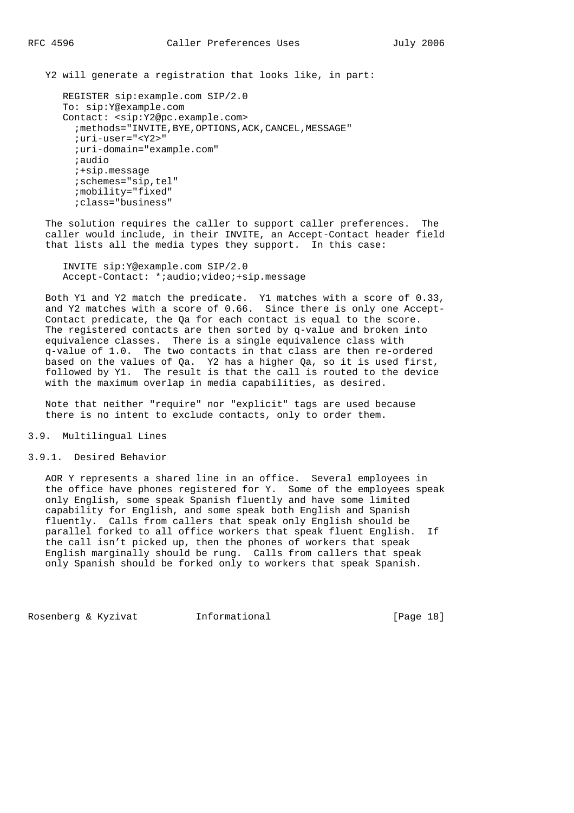Y2 will generate a registration that looks like, in part:

```
 REGISTER sip:example.com SIP/2.0
 To: sip:Y@example.com
 Contact: <sip:Y2@pc.example.com>
  ; methods="INVITE, BYE, OPTIONS, ACK, CANCEL, MESSAGE"
   ;uri-user="<Y2>"
   ;uri-domain="example.com"
   ;audio
   ;+sip.message
   ;schemes="sip,tel"
   ;mobility="fixed"
   ;class="business"
```
 The solution requires the caller to support caller preferences. The caller would include, in their INVITE, an Accept-Contact header field that lists all the media types they support. In this case:

 INVITE sip:Y@example.com SIP/2.0 Accept-Contact: \*;audio;video;+sip.message

 Both Y1 and Y2 match the predicate. Y1 matches with a score of 0.33, and Y2 matches with a score of 0.66. Since there is only one Accept- Contact predicate, the Qa for each contact is equal to the score. The registered contacts are then sorted by q-value and broken into equivalence classes. There is a single equivalence class with q-value of 1.0. The two contacts in that class are then re-ordered based on the values of Qa. Y2 has a higher Qa, so it is used first, followed by Y1. The result is that the call is routed to the device with the maximum overlap in media capabilities, as desired.

 Note that neither "require" nor "explicit" tags are used because there is no intent to exclude contacts, only to order them.

#### 3.9. Multilingual Lines

#### 3.9.1. Desired Behavior

 AOR Y represents a shared line in an office. Several employees in the office have phones registered for Y. Some of the employees speak only English, some speak Spanish fluently and have some limited capability for English, and some speak both English and Spanish fluently. Calls from callers that speak only English should be parallel forked to all office workers that speak fluent English. If the call isn't picked up, then the phones of workers that speak English marginally should be rung. Calls from callers that speak only Spanish should be forked only to workers that speak Spanish.

Rosenberg & Kyzivat Informational [Page 18]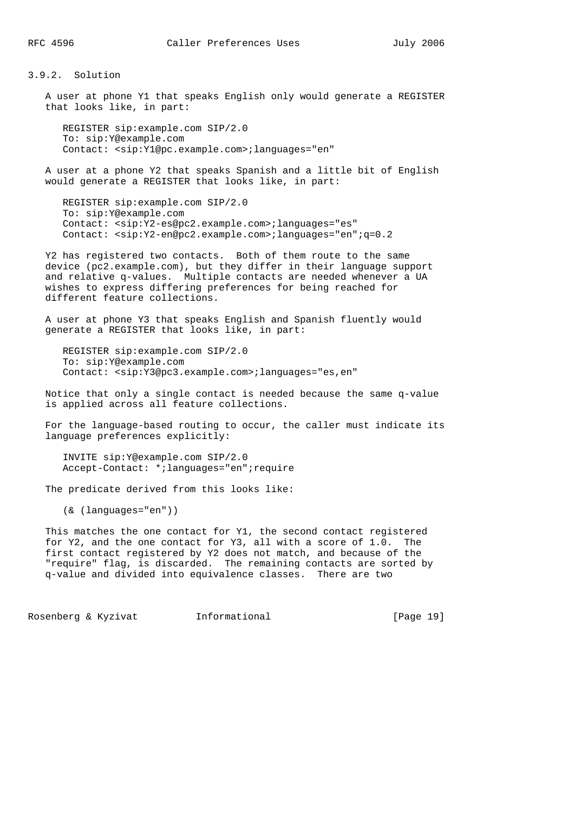3.9.2. Solution

 A user at phone Y1 that speaks English only would generate a REGISTER that looks like, in part:

 REGISTER sip:example.com SIP/2.0 To: sip:Y@example.com Contact: <sip:Y1@pc.example.com>;languages="en"

 A user at a phone Y2 that speaks Spanish and a little bit of English would generate a REGISTER that looks like, in part:

 REGISTER sip:example.com SIP/2.0 To: sip:Y@example.com Contact: <sip:Y2-es@pc2.example.com>;languages="es" Contact: <sip:Y2-en@pc2.example.com>;languages="en";q=0.2

 Y2 has registered two contacts. Both of them route to the same device (pc2.example.com), but they differ in their language support and relative q-values. Multiple contacts are needed whenever a UA wishes to express differing preferences for being reached for different feature collections.

 A user at phone Y3 that speaks English and Spanish fluently would generate a REGISTER that looks like, in part:

 REGISTER sip:example.com SIP/2.0 To: sip:Y@example.com Contact: <sip:Y3@pc3.example.com>;languages="es,en"

 Notice that only a single contact is needed because the same q-value is applied across all feature collections.

 For the language-based routing to occur, the caller must indicate its language preferences explicitly:

 INVITE sip:Y@example.com SIP/2.0 Accept-Contact: \*;languages="en";require

The predicate derived from this looks like:

(& (languages="en"))

 This matches the one contact for Y1, the second contact registered for Y2, and the one contact for Y3, all with a score of 1.0. The first contact registered by Y2 does not match, and because of the "require" flag, is discarded. The remaining contacts are sorted by q-value and divided into equivalence classes. There are two

Rosenberg & Kyzivat Informational [Page 19]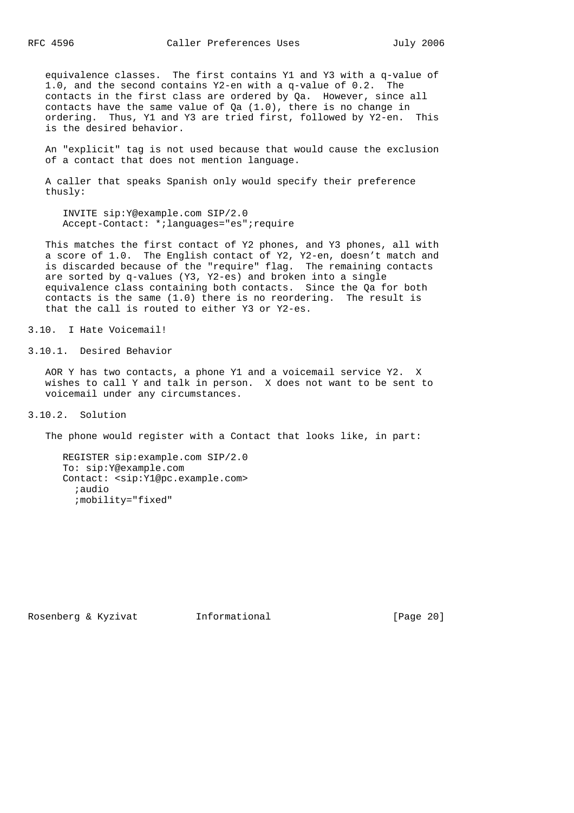equivalence classes. The first contains Y1 and Y3 with a q-value of 1.0, and the second contains Y2-en with a q-value of 0.2. The contacts in the first class are ordered by Qa. However, since all contacts have the same value of  $Qa(1.0)$ , there is no change in ordering. Thus, Y1 and Y3 are tried first, followed by Y2-en. This is the desired behavior.

 An "explicit" tag is not used because that would cause the exclusion of a contact that does not mention language.

 A caller that speaks Spanish only would specify their preference thusly:

 INVITE sip:Y@example.com SIP/2.0 Accept-Contact: \*;languages="es";require

 This matches the first contact of Y2 phones, and Y3 phones, all with a score of 1.0. The English contact of Y2, Y2-en, doesn't match and is discarded because of the "require" flag. The remaining contacts are sorted by q-values (Y3, Y2-es) and broken into a single equivalence class containing both contacts. Since the Qa for both contacts is the same (1.0) there is no reordering. The result is that the call is routed to either Y3 or Y2-es.

3.10. I Hate Voicemail!

3.10.1. Desired Behavior

 AOR Y has two contacts, a phone Y1 and a voicemail service Y2. X wishes to call Y and talk in person. X does not want to be sent to voicemail under any circumstances.

3.10.2. Solution

The phone would register with a Contact that looks like, in part:

 REGISTER sip:example.com SIP/2.0 To: sip:Y@example.com Contact: <sip:Y1@pc.example.com> ;audio ;mobility="fixed"

Rosenberg & Kyzivat Informational [Page 20]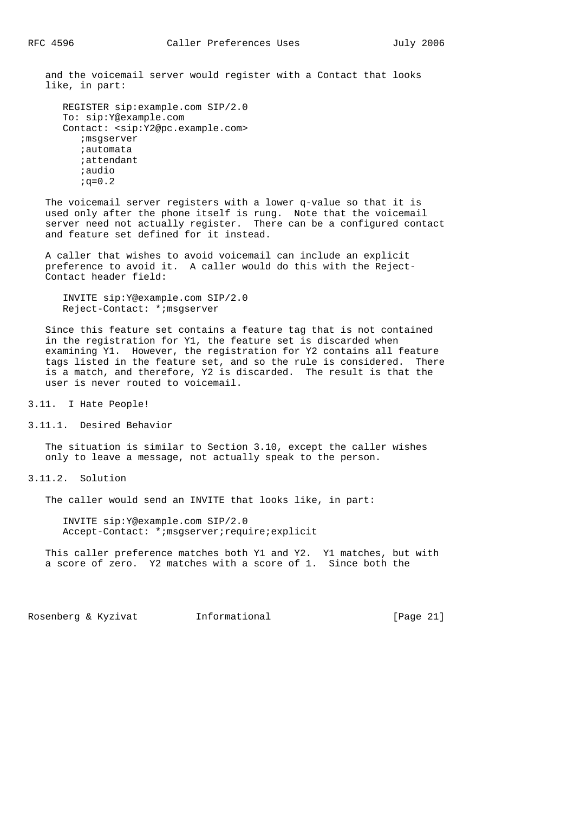and the voicemail server would register with a Contact that looks like, in part:

```
 REGISTER sip:example.com SIP/2.0
 To: sip:Y@example.com
 Contact: <sip:Y2@pc.example.com>
    ;msgserver
    ;automata
    ;attendant
    ;audio
   ; q=0.2
```
 The voicemail server registers with a lower q-value so that it is used only after the phone itself is rung. Note that the voicemail server need not actually register. There can be a configured contact and feature set defined for it instead.

 A caller that wishes to avoid voicemail can include an explicit preference to avoid it. A caller would do this with the Reject- Contact header field:

 INVITE sip:Y@example.com SIP/2.0 Reject-Contact: \*;msgserver

 Since this feature set contains a feature tag that is not contained in the registration for Y1, the feature set is discarded when examining Y1. However, the registration for Y2 contains all feature tags listed in the feature set, and so the rule is considered. There is a match, and therefore, Y2 is discarded. The result is that the user is never routed to voicemail.

3.11. I Hate People!

3.11.1. Desired Behavior

 The situation is similar to Section 3.10, except the caller wishes only to leave a message, not actually speak to the person.

3.11.2. Solution

The caller would send an INVITE that looks like, in part:

 INVITE sip:Y@example.com SIP/2.0 Accept-Contact: \*;msgserver;require;explicit

 This caller preference matches both Y1 and Y2. Y1 matches, but with a score of zero. Y2 matches with a score of 1. Since both the

Rosenberg & Kyzivat 1nformational [Page 21]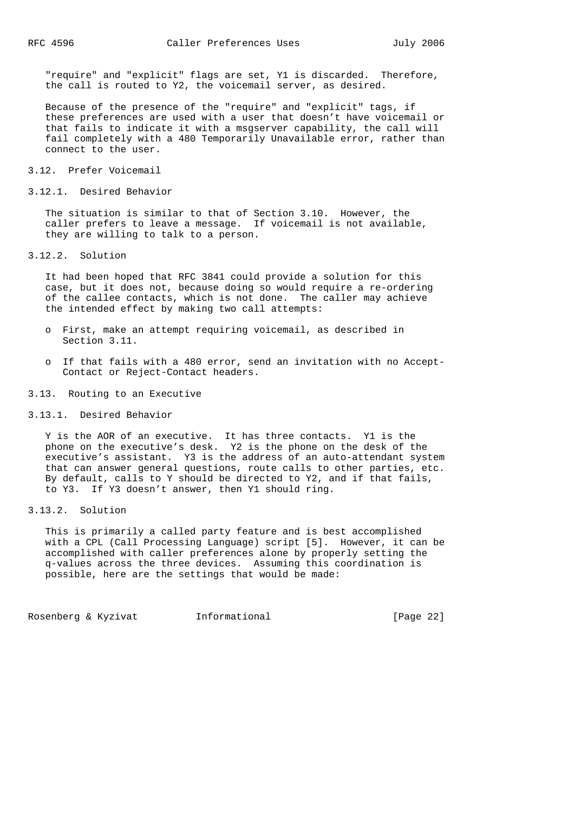"require" and "explicit" flags are set, Y1 is discarded. Therefore, the call is routed to Y2, the voicemail server, as desired.

 Because of the presence of the "require" and "explicit" tags, if these preferences are used with a user that doesn't have voicemail or that fails to indicate it with a msgserver capability, the call will fail completely with a 480 Temporarily Unavailable error, rather than connect to the user.

#### 3.12. Prefer Voicemail

3.12.1. Desired Behavior

 The situation is similar to that of Section 3.10. However, the caller prefers to leave a message. If voicemail is not available, they are willing to talk to a person.

3.12.2. Solution

 It had been hoped that RFC 3841 could provide a solution for this case, but it does not, because doing so would require a re-ordering of the callee contacts, which is not done. The caller may achieve the intended effect by making two call attempts:

- o First, make an attempt requiring voicemail, as described in Section 3.11.
- o If that fails with a 480 error, send an invitation with no Accept- Contact or Reject-Contact headers.

3.13. Routing to an Executive

#### 3.13.1. Desired Behavior

 Y is the AOR of an executive. It has three contacts. Y1 is the phone on the executive's desk. Y2 is the phone on the desk of the executive's assistant. Y3 is the address of an auto-attendant system that can answer general questions, route calls to other parties, etc. By default, calls to Y should be directed to Y2, and if that fails, to Y3. If Y3 doesn't answer, then Y1 should ring.

3.13.2. Solution

 This is primarily a called party feature and is best accomplished with a CPL (Call Processing Language) script [5]. However, it can be accomplished with caller preferences alone by properly setting the q-values across the three devices. Assuming this coordination is possible, here are the settings that would be made:

Rosenberg & Kyzivat Informational [Page 22]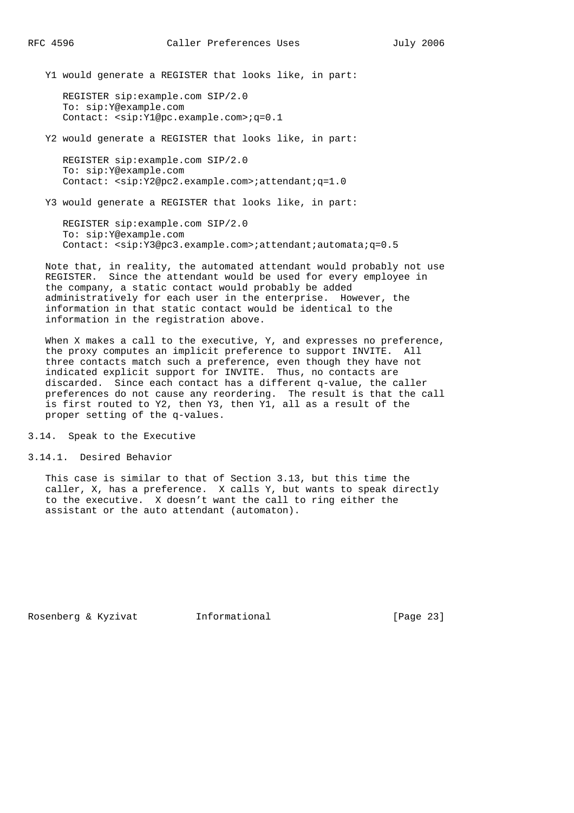Y1 would generate a REGISTER that looks like, in part:

 REGISTER sip:example.com SIP/2.0 To: sip:Y@example.com Contact: <sip:Y1@pc.example.com>;q=0.1

Y2 would generate a REGISTER that looks like, in part:

 REGISTER sip:example.com SIP/2.0 To: sip:Y@example.com Contact: <sip:Y2@pc2.example.com>;attendant;q=1.0

Y3 would generate a REGISTER that looks like, in part:

 REGISTER sip:example.com SIP/2.0 To: sip:Y@example.com Contact: <sip:Y3@pc3.example.com>;attendant;automata;q=0.5

 Note that, in reality, the automated attendant would probably not use REGISTER. Since the attendant would be used for every employee in the company, a static contact would probably be added administratively for each user in the enterprise. However, the information in that static contact would be identical to the information in the registration above.

When X makes a call to the executive, Y, and expresses no preference, the proxy computes an implicit preference to support INVITE. All three contacts match such a preference, even though they have not indicated explicit support for INVITE. Thus, no contacts are discarded. Since each contact has a different q-value, the caller preferences do not cause any reordering. The result is that the call is first routed to Y2, then Y3, then Y1, all as a result of the proper setting of the q-values.

3.14. Speak to the Executive

3.14.1. Desired Behavior

 This case is similar to that of Section 3.13, but this time the caller, X, has a preference. X calls Y, but wants to speak directly to the executive. X doesn't want the call to ring either the assistant or the auto attendant (automaton).

Rosenberg & Kyzivat Informational [Page 23]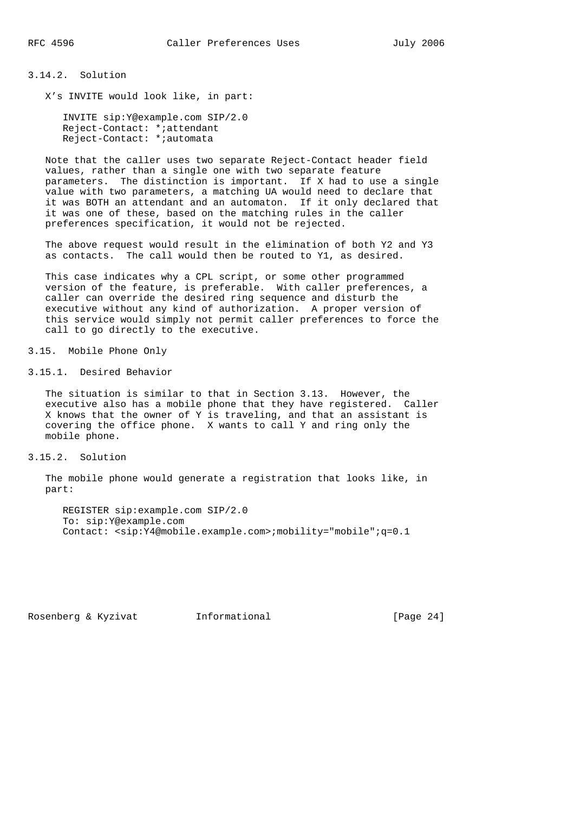3.14.2. Solution

X's INVITE would look like, in part:

 INVITE sip:Y@example.com SIP/2.0 Reject-Contact: \*;attendant Reject-Contact: \*;automata

 Note that the caller uses two separate Reject-Contact header field values, rather than a single one with two separate feature parameters. The distinction is important. If X had to use a single value with two parameters, a matching UA would need to declare that it was BOTH an attendant and an automaton. If it only declared that it was one of these, based on the matching rules in the caller preferences specification, it would not be rejected.

 The above request would result in the elimination of both Y2 and Y3 as contacts. The call would then be routed to Y1, as desired.

 This case indicates why a CPL script, or some other programmed version of the feature, is preferable. With caller preferences, a caller can override the desired ring sequence and disturb the executive without any kind of authorization. A proper version of this service would simply not permit caller preferences to force the call to go directly to the executive.

3.15. Mobile Phone Only

3.15.1. Desired Behavior

 The situation is similar to that in Section 3.13. However, the executive also has a mobile phone that they have registered. Caller X knows that the owner of Y is traveling, and that an assistant is covering the office phone. X wants to call Y and ring only the mobile phone.

3.15.2. Solution

 The mobile phone would generate a registration that looks like, in part:

 REGISTER sip:example.com SIP/2.0 To: sip:Y@example.com Contact: <sip:Y4@mobile.example.com>;mobility="mobile";q=0.1

Rosenberg & Kyzivat Informational [Page 24]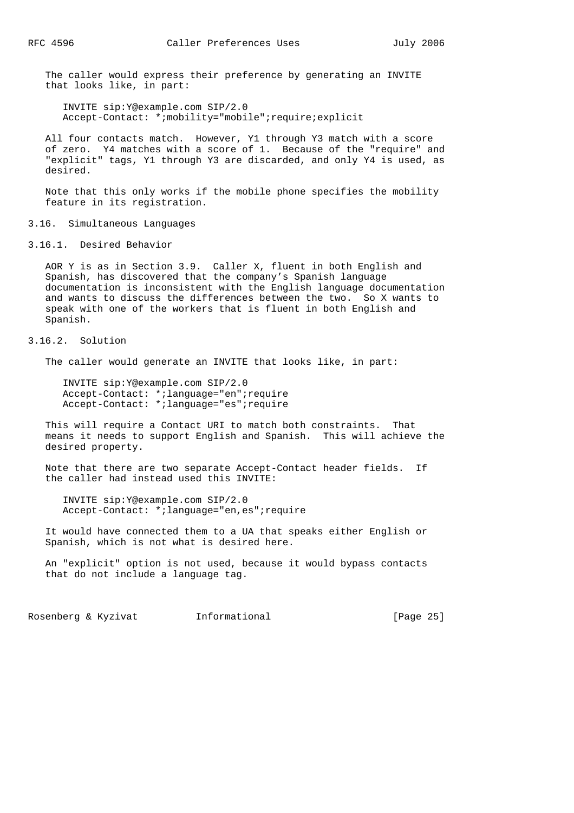The caller would express their preference by generating an INVITE that looks like, in part:

 INVITE sip:Y@example.com SIP/2.0 Accept-Contact: \*;mobility="mobile";require;explicit

 All four contacts match. However, Y1 through Y3 match with a score of zero. Y4 matches with a score of 1. Because of the "require" and "explicit" tags, Y1 through Y3 are discarded, and only Y4 is used, as desired.

 Note that this only works if the mobile phone specifies the mobility feature in its registration.

3.16. Simultaneous Languages

3.16.1. Desired Behavior

 AOR Y is as in Section 3.9. Caller X, fluent in both English and Spanish, has discovered that the company's Spanish language documentation is inconsistent with the English language documentation and wants to discuss the differences between the two. So X wants to speak with one of the workers that is fluent in both English and Spanish.

## 3.16.2. Solution

The caller would generate an INVITE that looks like, in part:

 INVITE sip:Y@example.com SIP/2.0 Accept-Contact: \*;language="en";require Accept-Contact: \*;language="es";require

 This will require a Contact URI to match both constraints. That means it needs to support English and Spanish. This will achieve the desired property.

 Note that there are two separate Accept-Contact header fields. If the caller had instead used this INVITE:

 INVITE sip:Y@example.com SIP/2.0 Accept-Contact: \*;language="en,es";require

 It would have connected them to a UA that speaks either English or Spanish, which is not what is desired here.

 An "explicit" option is not used, because it would bypass contacts that do not include a language tag.

Rosenberg & Kyzivat Informational [Page 25]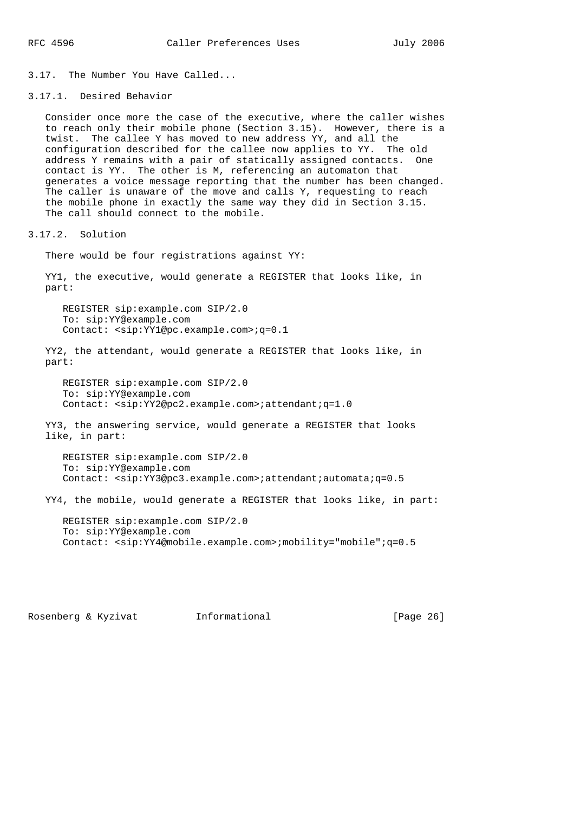3.17. The Number You Have Called...

3.17.1. Desired Behavior

 Consider once more the case of the executive, where the caller wishes to reach only their mobile phone (Section 3.15). However, there is a twist. The callee Y has moved to new address YY, and all the configuration described for the callee now applies to YY. The old address Y remains with a pair of statically assigned contacts. One contact is YY. The other is M, referencing an automaton that generates a voice message reporting that the number has been changed. The caller is unaware of the move and calls Y, requesting to reach the mobile phone in exactly the same way they did in Section 3.15. The call should connect to the mobile.

3.17.2. Solution

There would be four registrations against YY:

 YY1, the executive, would generate a REGISTER that looks like, in part:

 REGISTER sip:example.com SIP/2.0 To: sip:YY@example.com Contact: <sip:YY1@pc.example.com>;q=0.1

 YY2, the attendant, would generate a REGISTER that looks like, in part:

 REGISTER sip:example.com SIP/2.0 To: sip:YY@example.com Contact: <sip:YY2@pc2.example.com>;attendant;q=1.0

 YY3, the answering service, would generate a REGISTER that looks like, in part:

 REGISTER sip:example.com SIP/2.0 To: sip:YY@example.com Contact: <sip:YY3@pc3.example.com>;attendant;automata;q=0.5

YY4, the mobile, would generate a REGISTER that looks like, in part:

 REGISTER sip:example.com SIP/2.0 To: sip:YY@example.com Contact: <sip:YY4@mobile.example.com>;mobility="mobile";q=0.5

Rosenberg & Kyzivat Informational [Page 26]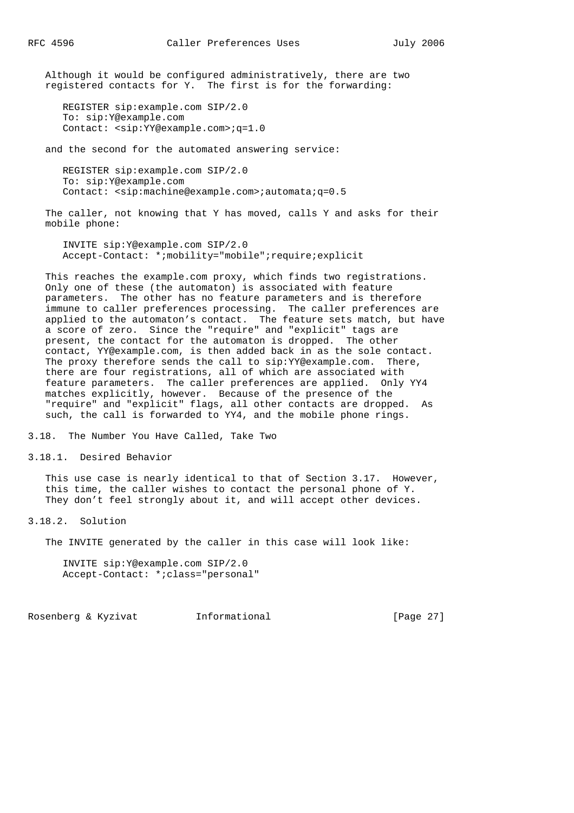Although it would be configured administratively, there are two registered contacts for Y. The first is for the forwarding:

```
 REGISTER sip:example.com SIP/2.0
 To: sip:Y@example.com
 Contact: <sip:YY@example.com>;q=1.0
```
and the second for the automated answering service:

 REGISTER sip:example.com SIP/2.0 To: sip:Y@example.com Contact: <sip:machine@example.com>;automata;q=0.5

 The caller, not knowing that Y has moved, calls Y and asks for their mobile phone:

 INVITE sip:Y@example.com SIP/2.0 Accept-Contact: \*;mobility="mobile";require;explicit

 This reaches the example.com proxy, which finds two registrations. Only one of these (the automaton) is associated with feature parameters. The other has no feature parameters and is therefore immune to caller preferences processing. The caller preferences are applied to the automaton's contact. The feature sets match, but have a score of zero. Since the "require" and "explicit" tags are present, the contact for the automaton is dropped. The other contact, YY@example.com, is then added back in as the sole contact. The proxy therefore sends the call to sip: YY@example.com. There, there are four registrations, all of which are associated with feature parameters. The caller preferences are applied. Only YY4 matches explicitly, however. Because of the presence of the "require" and "explicit" flags, all other contacts are dropped. As such, the call is forwarded to YY4, and the mobile phone rings.

3.18. The Number You Have Called, Take Two

3.18.1. Desired Behavior

 This use case is nearly identical to that of Section 3.17. However, this time, the caller wishes to contact the personal phone of Y. They don't feel strongly about it, and will accept other devices.

3.18.2. Solution

The INVITE generated by the caller in this case will look like:

 INVITE sip:Y@example.com SIP/2.0 Accept-Contact: \*;class="personal"

Rosenberg & Kyzivat Informational [Page 27]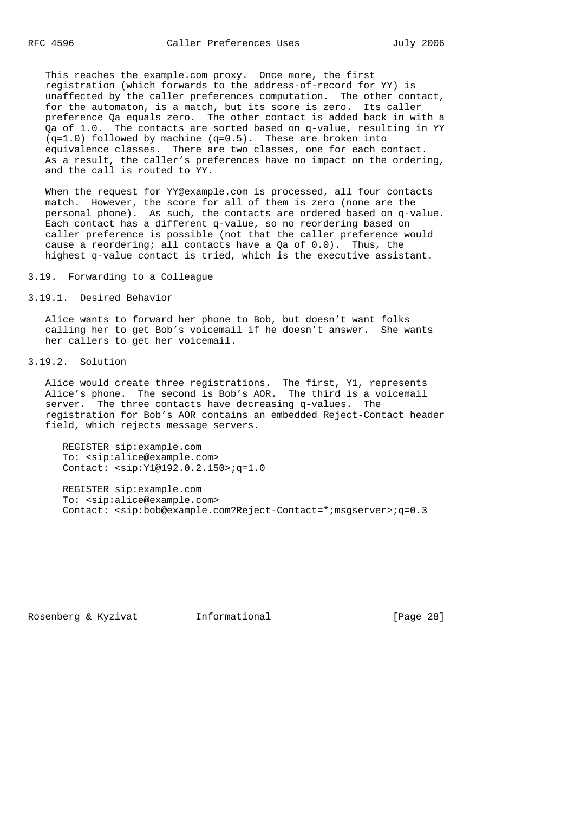This reaches the example.com proxy. Once more, the first registration (which forwards to the address-of-record for YY) is unaffected by the caller preferences computation. The other contact, for the automaton, is a match, but its score is zero. Its caller preference Qa equals zero. The other contact is added back in with a Qa of 1.0. The contacts are sorted based on q-value, resulting in YY (q=1.0) followed by machine (q=0.5). These are broken into equivalence classes. There are two classes, one for each contact. As a result, the caller's preferences have no impact on the ordering, and the call is routed to YY.

When the request for YY@example.com is processed, all four contacts match. However, the score for all of them is zero (none are the personal phone). As such, the contacts are ordered based on q-value. Each contact has a different q-value, so no reordering based on caller preference is possible (not that the caller preference would cause a reordering; all contacts have a Qa of 0.0). Thus, the highest q-value contact is tried, which is the executive assistant.

3.19. Forwarding to a Colleague

3.19.1. Desired Behavior

 Alice wants to forward her phone to Bob, but doesn't want folks calling her to get Bob's voicemail if he doesn't answer. She wants her callers to get her voicemail.

3.19.2. Solution

 Alice would create three registrations. The first, Y1, represents Alice's phone. The second is Bob's AOR. The third is a voicemail server. The three contacts have decreasing q-values. The registration for Bob's AOR contains an embedded Reject-Contact header field, which rejects message servers.

 REGISTER sip:example.com To: <sip:alice@example.com> Contact: <sip:Y1@192.0.2.150>;q=1.0

 REGISTER sip:example.com To: <sip:alice@example.com> Contact: <sip:bob@example.com?Reject-Contact=\*;msgserver>;q=0.3

Rosenberg & Kyzivat Informational [Page 28]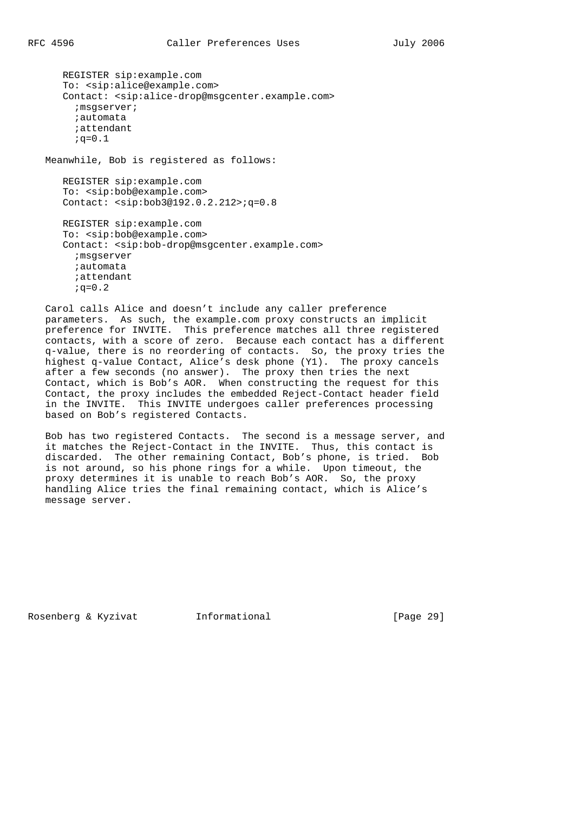REGISTER sip:example.com To: <sip:alice@example.com> Contact: <sip:alice-drop@msgcenter.example.com> ;msgserver; ;automata ;attendant  $; q=0.1$ Meanwhile, Bob is registered as follows:

 REGISTER sip:example.com To: <sip:bob@example.com> Contact: <sip:bob3@192.0.2.212>;q=0.8

 REGISTER sip:example.com To: <sip:bob@example.com> Contact: <sip:bob-drop@msgcenter.example.com> ;msgserver ;automata ;attendant  $; \sigma = 0.2$ 

 Carol calls Alice and doesn't include any caller preference parameters. As such, the example.com proxy constructs an implicit preference for INVITE. This preference matches all three registered contacts, with a score of zero. Because each contact has a different q-value, there is no reordering of contacts. So, the proxy tries the highest q-value Contact, Alice's desk phone (Y1). The proxy cancels after a few seconds (no answer). The proxy then tries the next Contact, which is Bob's AOR. When constructing the request for this Contact, the proxy includes the embedded Reject-Contact header field in the INVITE. This INVITE undergoes caller preferences processing based on Bob's registered Contacts.

 Bob has two registered Contacts. The second is a message server, and it matches the Reject-Contact in the INVITE. Thus, this contact is discarded. The other remaining Contact, Bob's phone, is tried. Bob is not around, so his phone rings for a while. Upon timeout, the proxy determines it is unable to reach Bob's AOR. So, the proxy handling Alice tries the final remaining contact, which is Alice's message server.

Rosenberg & Kyzivat Informational [Page 29]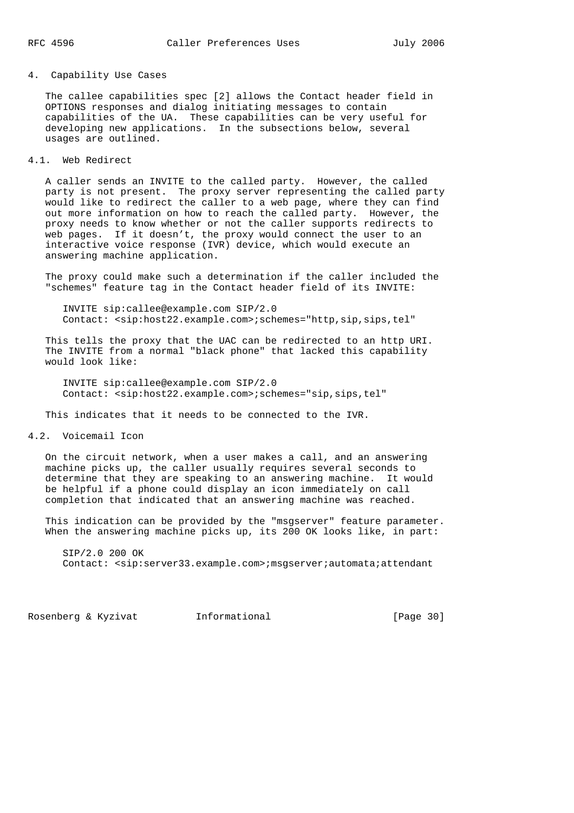#### 4. Capability Use Cases

 The callee capabilities spec [2] allows the Contact header field in OPTIONS responses and dialog initiating messages to contain capabilities of the UA. These capabilities can be very useful for developing new applications. In the subsections below, several usages are outlined.

## 4.1. Web Redirect

 A caller sends an INVITE to the called party. However, the called party is not present. The proxy server representing the called party would like to redirect the caller to a web page, where they can find out more information on how to reach the called party. However, the proxy needs to know whether or not the caller supports redirects to web pages. If it doesn't, the proxy would connect the user to an interactive voice response (IVR) device, which would execute an answering machine application.

 The proxy could make such a determination if the caller included the "schemes" feature tag in the Contact header field of its INVITE:

 INVITE sip:callee@example.com SIP/2.0 Contact: <sip:host22.example.com>;schemes="http,sip,sips,tel"

 This tells the proxy that the UAC can be redirected to an http URI. The INVITE from a normal "black phone" that lacked this capability would look like:

 INVITE sip:callee@example.com SIP/2.0 Contact: <sip:host22.example.com>;schemes="sip,sips,tel"

This indicates that it needs to be connected to the IVR.

4.2. Voicemail Icon

 On the circuit network, when a user makes a call, and an answering machine picks up, the caller usually requires several seconds to determine that they are speaking to an answering machine. It would be helpful if a phone could display an icon immediately on call completion that indicated that an answering machine was reached.

 This indication can be provided by the "msgserver" feature parameter. When the answering machine picks up, its 200 OK looks like, in part:

 SIP/2.0 200 OK Contact: <sip:server33.example.com>;msgserver;automata;attendant

Rosenberg & Kyzivat Informational [Page 30]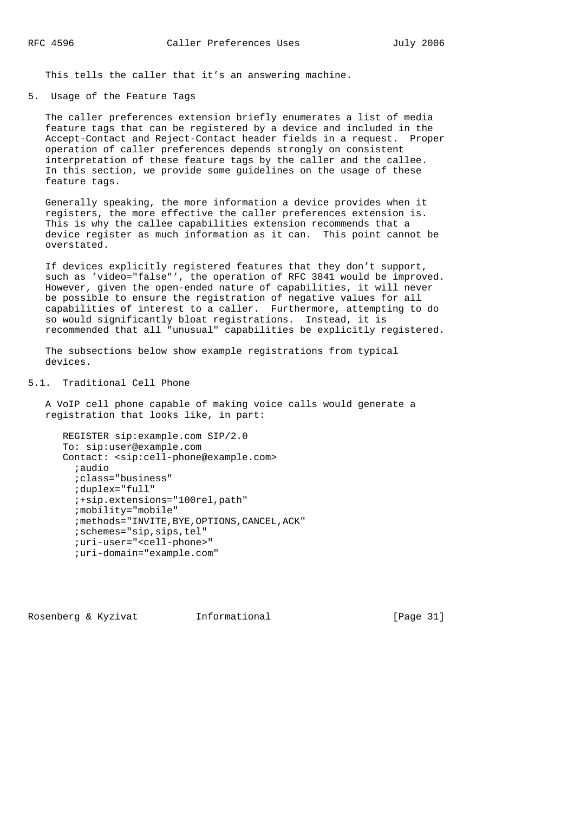This tells the caller that it's an answering machine.

5. Usage of the Feature Tags

 The caller preferences extension briefly enumerates a list of media feature tags that can be registered by a device and included in the Accept-Contact and Reject-Contact header fields in a request. Proper operation of caller preferences depends strongly on consistent interpretation of these feature tags by the caller and the callee. In this section, we provide some guidelines on the usage of these feature tags.

 Generally speaking, the more information a device provides when it registers, the more effective the caller preferences extension is. This is why the callee capabilities extension recommends that a device register as much information as it can. This point cannot be overstated.

 If devices explicitly registered features that they don't support, such as 'video="false"', the operation of RFC 3841 would be improved. However, given the open-ended nature of capabilities, it will never be possible to ensure the registration of negative values for all capabilities of interest to a caller. Furthermore, attempting to do so would significantly bloat registrations. Instead, it is recommended that all "unusual" capabilities be explicitly registered.

 The subsections below show example registrations from typical devices.

5.1. Traditional Cell Phone

 A VoIP cell phone capable of making voice calls would generate a registration that looks like, in part:

```
 REGISTER sip:example.com SIP/2.0
 To: sip:user@example.com
 Contact: <sip:cell-phone@example.com>
   ;audio
   ;class="business"
   ;duplex="full"
   ;+sip.extensions="100rel,path"
   ;mobility="mobile"
   ;methods="INVITE,BYE,OPTIONS,CANCEL,ACK"
   ;schemes="sip,sips,tel"
   ;uri-user="<cell-phone>"
   ;uri-domain="example.com"
```
Rosenberg & Kyzivat Informational [Page 31]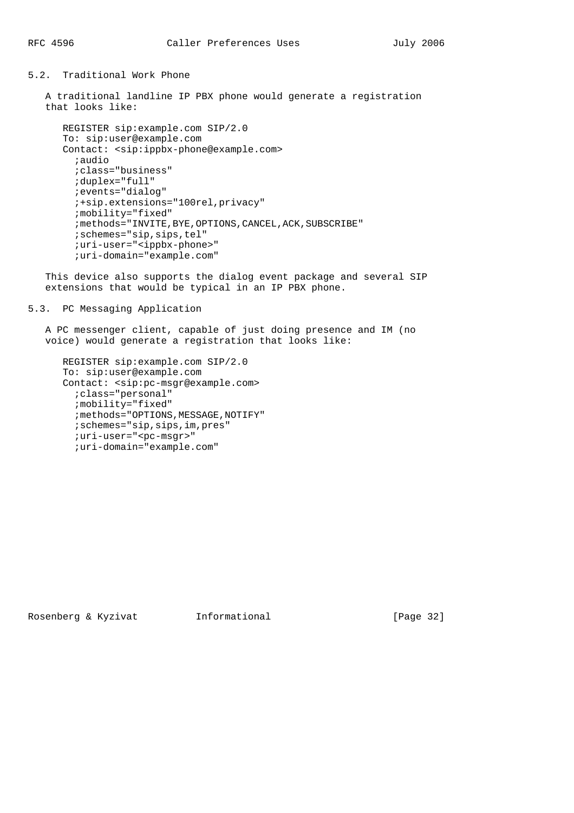## 5.2. Traditional Work Phone

 A traditional landline IP PBX phone would generate a registration that looks like:

```
 REGISTER sip:example.com SIP/2.0
 To: sip:user@example.com
 Contact: <sip:ippbx-phone@example.com>
   ;audio
   ;class="business"
   ;duplex="full"
   ;events="dialog"
   ;+sip.extensions="100rel,privacy"
   ;mobility="fixed"
  ; methods="INVITE, BYE, OPTIONS, CANCEL, ACK, SUBSCRIBE"
   ;schemes="sip,sips,tel"
   ;uri-user="<ippbx-phone>"
   ;uri-domain="example.com"
```
 This device also supports the dialog event package and several SIP extensions that would be typical in an IP PBX phone.

## 5.3. PC Messaging Application

 A PC messenger client, capable of just doing presence and IM (no voice) would generate a registration that looks like:

```
 REGISTER sip:example.com SIP/2.0
 To: sip:user@example.com
 Contact: <sip:pc-msgr@example.com>
  ;class="personal"
   ;mobility="fixed"
   ;methods="OPTIONS,MESSAGE,NOTIFY"
   ;schemes="sip,sips,im,pres"
   ;uri-user="<pc-msgr>"
   ;uri-domain="example.com"
```
Rosenberg & Kyzivat Informational [Page 32]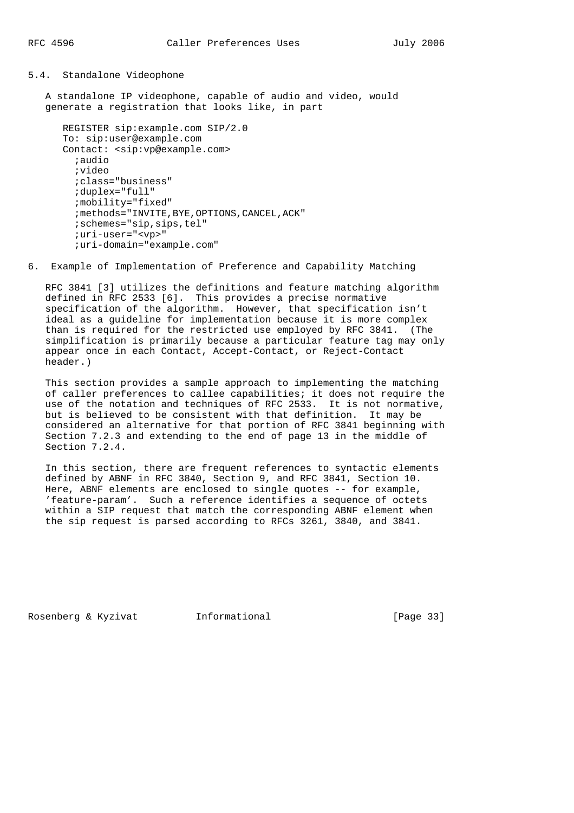## 5.4. Standalone Videophone

 A standalone IP videophone, capable of audio and video, would generate a registration that looks like, in part

```
 REGISTER sip:example.com SIP/2.0
 To: sip:user@example.com
 Contact: <sip:vp@example.com>
   ;audio
   ;video
   ;class="business"
   ;duplex="full"
   ;mobility="fixed"
  ; methods="INVITE, BYE, OPTIONS, CANCEL, ACK"
   ;schemes="sip,sips,tel"
   ;uri-user="<vp>"
   ;uri-domain="example.com"
```
6. Example of Implementation of Preference and Capability Matching

 RFC 3841 [3] utilizes the definitions and feature matching algorithm defined in RFC 2533 [6]. This provides a precise normative specification of the algorithm. However, that specification isn't ideal as a guideline for implementation because it is more complex than is required for the restricted use employed by RFC 3841. (The simplification is primarily because a particular feature tag may only appear once in each Contact, Accept-Contact, or Reject-Contact header.)

 This section provides a sample approach to implementing the matching of caller preferences to callee capabilities; it does not require the use of the notation and techniques of RFC 2533. It is not normative, but is believed to be consistent with that definition. It may be considered an alternative for that portion of RFC 3841 beginning with Section 7.2.3 and extending to the end of page 13 in the middle of Section 7.2.4.

 In this section, there are frequent references to syntactic elements defined by ABNF in RFC 3840, Section 9, and RFC 3841, Section 10. Here, ABNF elements are enclosed to single quotes -- for example, 'feature-param'. Such a reference identifies a sequence of octets within a SIP request that match the corresponding ABNF element when the sip request is parsed according to RFCs 3261, 3840, and 3841.

Rosenberg & Kyzivat Informational [Page 33]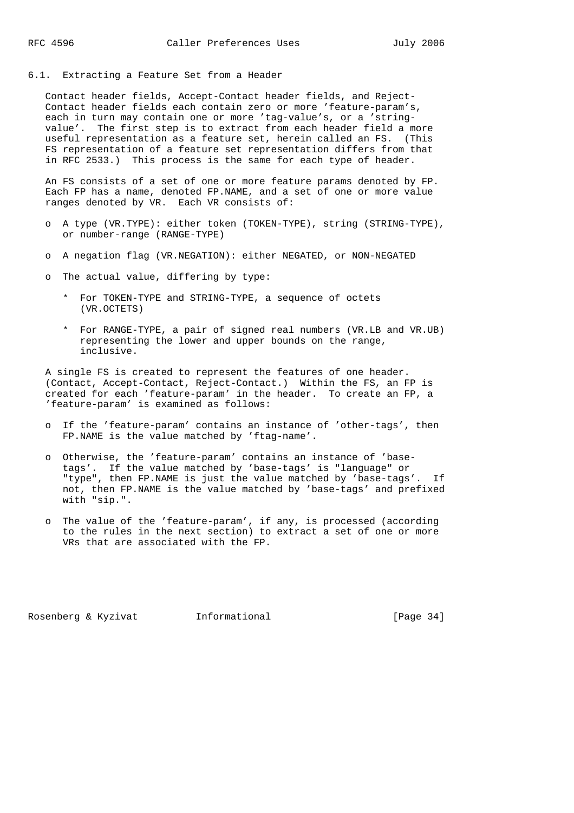6.1. Extracting a Feature Set from a Header

 Contact header fields, Accept-Contact header fields, and Reject- Contact header fields each contain zero or more 'feature-param's, each in turn may contain one or more 'tag-value's, or a 'string value'. The first step is to extract from each header field a more useful representation as a feature set, herein called an FS. (This FS representation of a feature set representation differs from that in RFC 2533.) This process is the same for each type of header.

 An FS consists of a set of one or more feature params denoted by FP. Each FP has a name, denoted FP.NAME, and a set of one or more value ranges denoted by VR. Each VR consists of:

- o A type (VR.TYPE): either token (TOKEN-TYPE), string (STRING-TYPE), or number-range (RANGE-TYPE)
- o A negation flag (VR.NEGATION): either NEGATED, or NON-NEGATED
- o The actual value, differing by type:
	- \* For TOKEN-TYPE and STRING-TYPE, a sequence of octets (VR.OCTETS)
	- \* For RANGE-TYPE, a pair of signed real numbers (VR.LB and VR.UB) representing the lower and upper bounds on the range, inclusive.

 A single FS is created to represent the features of one header. (Contact, Accept-Contact, Reject-Contact.) Within the FS, an FP is created for each 'feature-param' in the header. To create an FP, a 'feature-param' is examined as follows:

- o If the 'feature-param' contains an instance of 'other-tags', then FP.NAME is the value matched by 'ftag-name'.
- o Otherwise, the 'feature-param' contains an instance of 'base tags'. If the value matched by 'base-tags' is "language" or "type", then FP.NAME is just the value matched by 'base-tags'. If not, then FP.NAME is the value matched by 'base-tags' and prefixed with "sip.".
- o The value of the 'feature-param', if any, is processed (according to the rules in the next section) to extract a set of one or more VRs that are associated with the FP.

Rosenberg & Kyzivat Informational [Page 34]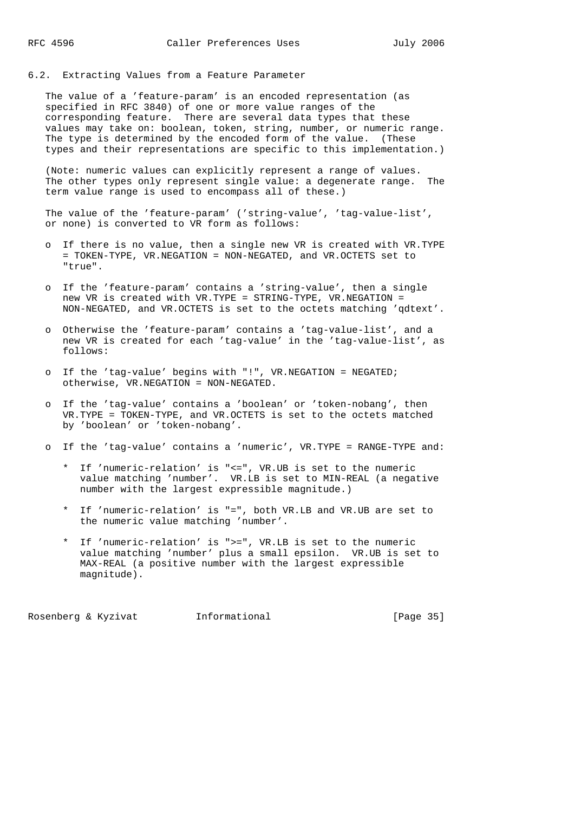## 6.2. Extracting Values from a Feature Parameter

 The value of a 'feature-param' is an encoded representation (as specified in RFC 3840) of one or more value ranges of the corresponding feature. There are several data types that these values may take on: boolean, token, string, number, or numeric range. The type is determined by the encoded form of the value. (These types and their representations are specific to this implementation.)

 (Note: numeric values can explicitly represent a range of values. The other types only represent single value: a degenerate range. The term value range is used to encompass all of these.)

 The value of the 'feature-param' ('string-value', 'tag-value-list', or none) is converted to VR form as follows:

- o If there is no value, then a single new VR is created with VR.TYPE = TOKEN-TYPE, VR.NEGATION = NON-NEGATED, and VR.OCTETS set to "true".
- o If the 'feature-param' contains a 'string-value', then a single new VR is created with VR.TYPE = STRING-TYPE, VR.NEGATION = NON-NEGATED, and VR.OCTETS is set to the octets matching 'qdtext'.
- o Otherwise the 'feature-param' contains a 'tag-value-list', and a new VR is created for each 'tag-value' in the 'tag-value-list', as follows:
- o If the 'tag-value' begins with "!", VR.NEGATION = NEGATED; otherwise, VR.NEGATION = NON-NEGATED.
- o If the 'tag-value' contains a 'boolean' or 'token-nobang', then VR.TYPE = TOKEN-TYPE, and VR.OCTETS is set to the octets matched by 'boolean' or 'token-nobang'.
- o If the 'tag-value' contains a 'numeric', VR.TYPE = RANGE-TYPE and:
	- \* If 'numeric-relation' is "<=", VR.UB is set to the numeric value matching 'number'. VR.LB is set to MIN-REAL (a negative number with the largest expressible magnitude.)
	- \* If 'numeric-relation' is "=", both VR.LB and VR.UB are set to the numeric value matching 'number'.
	- \* If 'numeric-relation' is ">=", VR.LB is set to the numeric value matching 'number' plus a small epsilon. VR.UB is set to MAX-REAL (a positive number with the largest expressible magnitude).

Rosenberg & Kyzivat Informational [Page 35]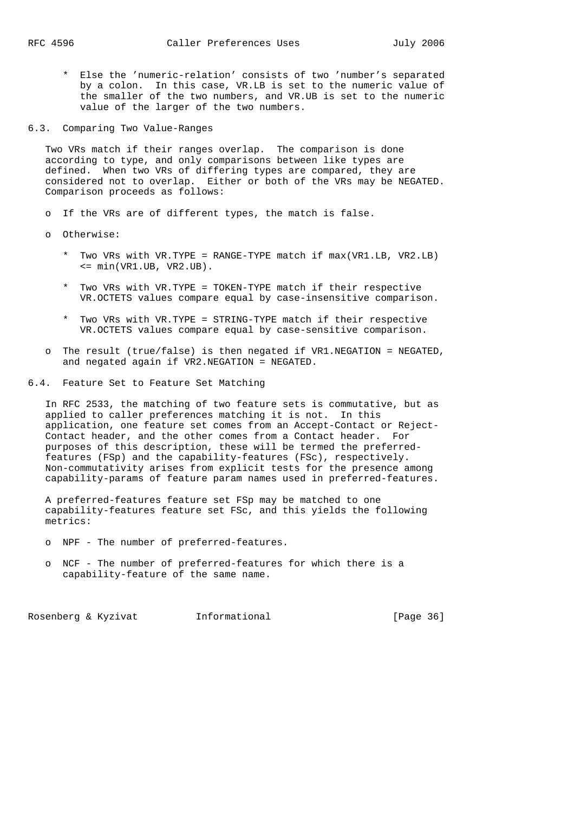\* Else the 'numeric-relation' consists of two 'number's separated by a colon. In this case, VR.LB is set to the numeric value of the smaller of the two numbers, and VR.UB is set to the numeric value of the larger of the two numbers.

6.3. Comparing Two Value-Ranges

 Two VRs match if their ranges overlap. The comparison is done according to type, and only comparisons between like types are defined. When two VRs of differing types are compared, they are considered not to overlap. Either or both of the VRs may be NEGATED. Comparison proceeds as follows:

o If the VRs are of different types, the match is false.

o Otherwise:

- \* Two VRs with VR.TYPE = RANGE-TYPE match if max(VR1.LB, VR2.LB)  $\leq$  min(VR1.UB, VR2.UB).
- \* Two VRs with VR.TYPE = TOKEN-TYPE match if their respective VR.OCTETS values compare equal by case-insensitive comparison.
- \* Two VRs with VR.TYPE = STRING-TYPE match if their respective VR.OCTETS values compare equal by case-sensitive comparison.
- o The result (true/false) is then negated if VR1.NEGATION = NEGATED, and negated again if VR2.NEGATION = NEGATED.
- 6.4. Feature Set to Feature Set Matching

 In RFC 2533, the matching of two feature sets is commutative, but as applied to caller preferences matching it is not. In this application, one feature set comes from an Accept-Contact or Reject- Contact header, and the other comes from a Contact header. For purposes of this description, these will be termed the preferred features (FSp) and the capability-features (FSc), respectively. Non-commutativity arises from explicit tests for the presence among capability-params of feature param names used in preferred-features.

 A preferred-features feature set FSp may be matched to one capability-features feature set FSc, and this yields the following metrics:

- o NPF The number of preferred-features.
- o NCF The number of preferred-features for which there is a capability-feature of the same name.

Rosenberg & Kyzivat Informational [Page 36]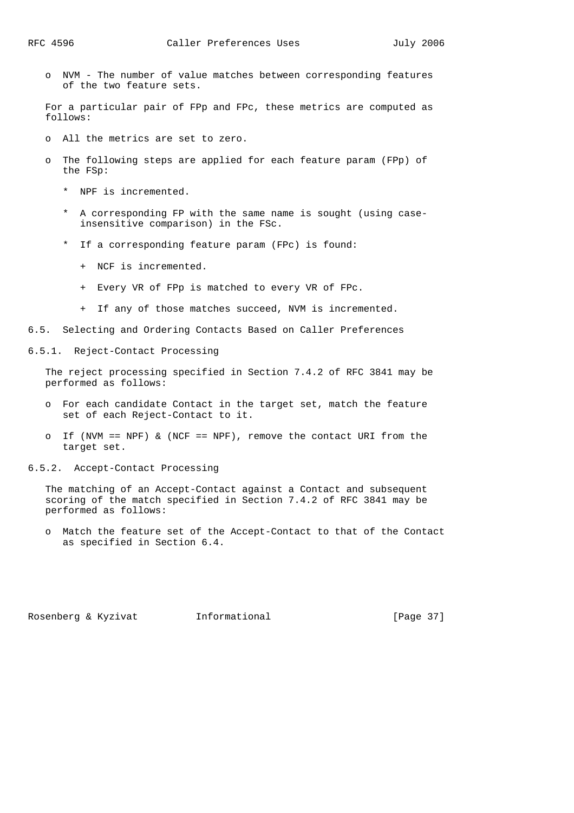o NVM - The number of value matches between corresponding features of the two feature sets.

 For a particular pair of FPp and FPc, these metrics are computed as follows:

- o All the metrics are set to zero.
- o The following steps are applied for each feature param (FPp) of the FSp:
	- \* NPF is incremented.
	- \* A corresponding FP with the same name is sought (using case insensitive comparison) in the FSc.
	- \* If a corresponding feature param (FPc) is found:
		- + NCF is incremented.
		- + Every VR of FPp is matched to every VR of FPc.
		- + If any of those matches succeed, NVM is incremented.
- 6.5. Selecting and Ordering Contacts Based on Caller Preferences
- 6.5.1. Reject-Contact Processing

 The reject processing specified in Section 7.4.2 of RFC 3841 may be performed as follows:

- o For each candidate Contact in the target set, match the feature set of each Reject-Contact to it.
- o If (NVM == NPF)  $\&$  (NCF == NPF), remove the contact URI from the target set.
- 6.5.2. Accept-Contact Processing

 The matching of an Accept-Contact against a Contact and subsequent scoring of the match specified in Section 7.4.2 of RFC 3841 may be performed as follows:

 o Match the feature set of the Accept-Contact to that of the Contact as specified in Section 6.4.

Rosenberg & Kyzivat 1nformational [Page 37]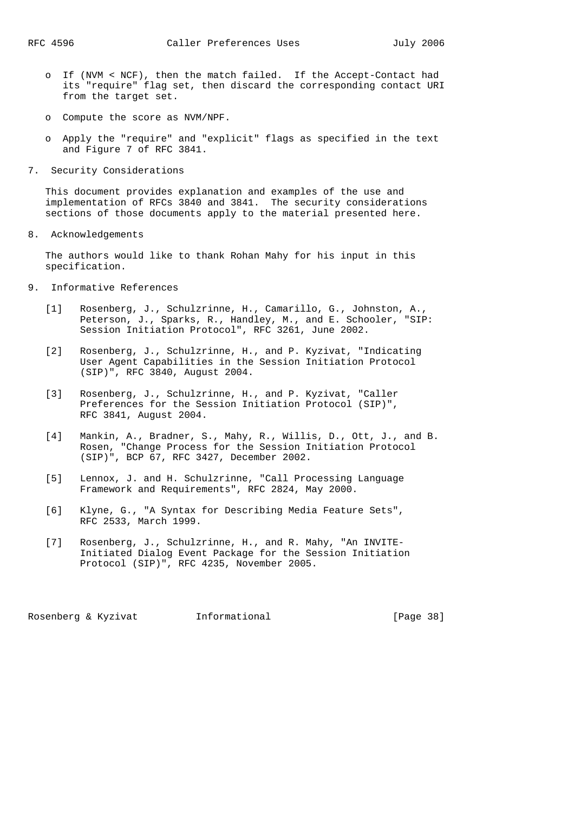- o If (NVM < NCF), then the match failed. If the Accept-Contact had its "require" flag set, then discard the corresponding contact URI from the target set.
- o Compute the score as NVM/NPF.
- o Apply the "require" and "explicit" flags as specified in the text and Figure 7 of RFC 3841.
- 7. Security Considerations

 This document provides explanation and examples of the use and implementation of RFCs 3840 and 3841. The security considerations sections of those documents apply to the material presented here.

8. Acknowledgements

 The authors would like to thank Rohan Mahy for his input in this specification.

- 9. Informative References
- [1] Rosenberg, J., Schulzrinne, H., Camarillo, G., Johnston, A., Peterson, J., Sparks, R., Handley, M., and E. Schooler, "SIP: Session Initiation Protocol", RFC 3261, June 2002.
	- [2] Rosenberg, J., Schulzrinne, H., and P. Kyzivat, "Indicating User Agent Capabilities in the Session Initiation Protocol (SIP)", RFC 3840, August 2004.
	- [3] Rosenberg, J., Schulzrinne, H., and P. Kyzivat, "Caller Preferences for the Session Initiation Protocol (SIP)", RFC 3841, August 2004.
	- [4] Mankin, A., Bradner, S., Mahy, R., Willis, D., Ott, J., and B. Rosen, "Change Process for the Session Initiation Protocol (SIP)", BCP 67, RFC 3427, December 2002.
	- [5] Lennox, J. and H. Schulzrinne, "Call Processing Language Framework and Requirements", RFC 2824, May 2000.
	- [6] Klyne, G., "A Syntax for Describing Media Feature Sets", RFC 2533, March 1999.
	- [7] Rosenberg, J., Schulzrinne, H., and R. Mahy, "An INVITE- Initiated Dialog Event Package for the Session Initiation Protocol (SIP)", RFC 4235, November 2005.

Rosenberg & Kyzivat Informational [Page 38]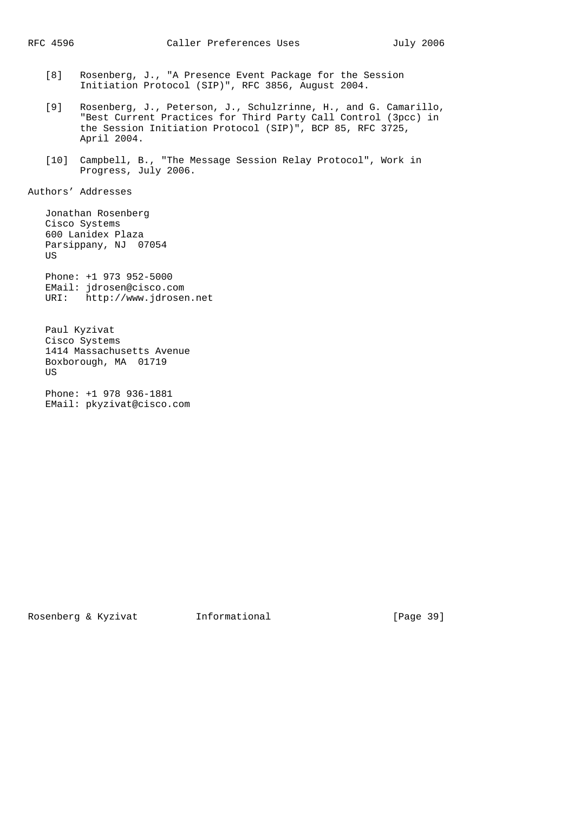- [8] Rosenberg, J., "A Presence Event Package for the Session Initiation Protocol (SIP)", RFC 3856, August 2004.
- [9] Rosenberg, J., Peterson, J., Schulzrinne, H., and G. Camarillo, "Best Current Practices for Third Party Call Control (3pcc) in the Session Initiation Protocol (SIP)", BCP 85, RFC 3725, April 2004.
- [10] Campbell, B., "The Message Session Relay Protocol", Work in Progress, July 2006.

Authors' Addresses

 Jonathan Rosenberg Cisco Systems 600 Lanidex Plaza Parsippany, NJ 07054 **US**  Phone: +1 973 952-5000 EMail: jdrosen@cisco.com URI: http://www.jdrosen.net Paul Kyzivat

 Cisco Systems 1414 Massachusetts Avenue Boxborough, MA 01719 US

 Phone: +1 978 936-1881 EMail: pkyzivat@cisco.com

Rosenberg & Kyzivat 1nformational [Page 39]